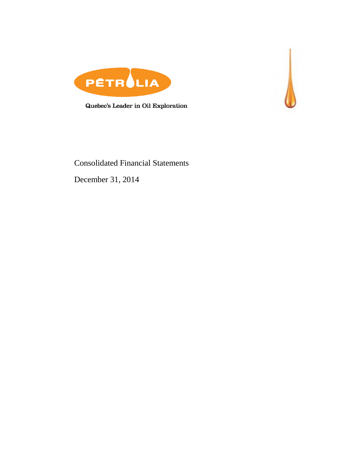



Quebec's Leader in Oil Exploration

# Consolidated Financial Statements

December 31, 2014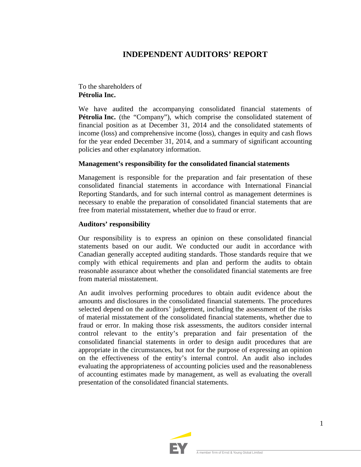# **INDEPENDENT AUDITORS' REPORT**

To the shareholders of **Pétrolia Inc.**

We have audited the accompanying consolidated financial statements of **Pétrolia Inc.** (the "Company"), which comprise the consolidated statement of financial position as at December 31, 2014 and the consolidated statements of income (loss) and comprehensive income (loss), changes in equity and cash flows for the year ended December 31, 2014, and a summary of significant accounting policies and other explanatory information.

## **Management's responsibility for the consolidated financial statements**

Management is responsible for the preparation and fair presentation of these consolidated financial statements in accordance with International Financial Reporting Standards, and for such internal control as management determines is necessary to enable the preparation of consolidated financial statements that are free from material misstatement, whether due to fraud or error.

### **Auditors' responsibility**

Our responsibility is to express an opinion on these consolidated financial statements based on our audit. We conducted our audit in accordance with Canadian generally accepted auditing standards. Those standards require that we comply with ethical requirements and plan and perform the audits to obtain reasonable assurance about whether the consolidated financial statements are free from material misstatement.

An audit involves performing procedures to obtain audit evidence about the amounts and disclosures in the consolidated financial statements. The procedures selected depend on the auditors' judgement, including the assessment of the risks of material misstatement of the consolidated financial statements, whether due to fraud or error. In making those risk assessments, the auditors consider internal control relevant to the entity's preparation and fair presentation of the consolidated financial statements in order to design audit procedures that are appropriate in the circumstances, but not for the purpose of expressing an opinion on the effectiveness of the entity's internal control. An audit also includes evaluating the appropriateness of accounting policies used and the reasonableness of accounting estimates made by management, as well as evaluating the overall presentation of the consolidated financial statements.

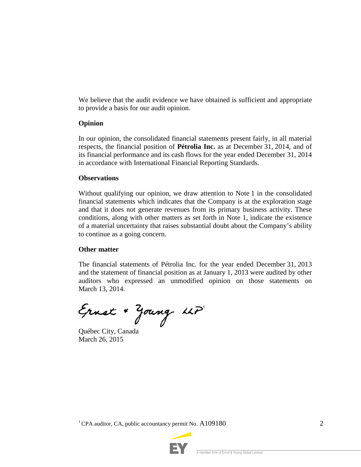We believe that the audit evidence we have obtained is sufficient and appropriate to provide a basis for our audit opinion.

## **Opinion**

In our opinion, the consolidated financial statements present fairly, in all material respects, the financial position of **Pétrolia Inc.** as at December 31, 2014, and of its financial performance and its cash flows for the year ended December 31, 2014 in accordance with International Financial Reporting Standards.

## **Observations**

Without qualifying our opinion, we draw attention to Note 1 in the consolidated financial statements which indicates that the Company is at the exploration stage and that it does not generate revenues from its primary business activity. These conditions, along with other matters as set forth in Note 1, indicate the existence of a material uncertainty that raises substantial doubt about the Company's ability to continue as a going concern.

## **Other matter**

The financial statements of Pétrolia Inc. for the year ended December 31, 2013 and the statement of financial position as at January 1, 2013 were audited by other auditors who expressed an unmodified opinion on those statements on March 13, 2014.

Ernst + Young LLP

Québec City, Canada March 26, 2015

<sup>1</sup> CPA auditor, CA, public accountancy permit No.  $A109180$  2

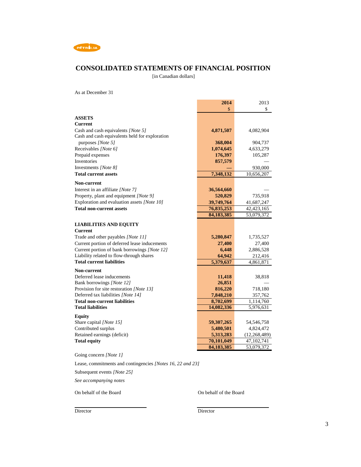

## **CONSOLIDATED STATEMENTS OF FINANCIAL POSITION**

[in Canadian dollars]

As at December 31

|                                                                                               | 2014                     | 2013                     |
|-----------------------------------------------------------------------------------------------|--------------------------|--------------------------|
|                                                                                               | \$                       | \$                       |
| <b>ASSETS</b>                                                                                 |                          |                          |
| Current                                                                                       |                          |                          |
| Cash and cash equivalents [Note 5]                                                            | 4,871,507                | 4,082,904                |
| Cash and cash equivalents held for exploration                                                |                          |                          |
| purposes [Note 5]                                                                             | 368,004                  | 904,737                  |
| Receivables [Note 6]                                                                          | 1,074,645                | 4,633,279                |
| Prepaid expenses                                                                              | 176,397                  | 105,287                  |
| Inventories                                                                                   | 857,579                  |                          |
| Investments [Note 8]                                                                          |                          | 930,000                  |
| <b>Total current assets</b>                                                                   | 7,348,132                | 10,656,207               |
| Non-current                                                                                   |                          |                          |
| Interest in an affiliate [Note 7]                                                             | 36,564,660               |                          |
| Property, plant and equipment [Note 9]                                                        | 520,829                  | 735,918                  |
| Exploration and evaluation assets [Note 10]                                                   | 39,749,764               | 41,687,247               |
| <b>Total non-current assets</b>                                                               | 76,835,253               | 42, 423, 165             |
|                                                                                               | 84, 183, 385             | 53,079,372               |
|                                                                                               |                          |                          |
| <b>LIABILITIES AND EQUITY</b>                                                                 |                          |                          |
| <b>Current</b>                                                                                |                          |                          |
| Trade and other payables [Note 11]                                                            | 5,280,847<br>27,400      | 1,735,527                |
| Current portion of deferred lease inducements<br>Current portion of bank borrowings [Note 12] | 6,448                    | 27,400<br>2,886,528      |
| Liability related to flow-through shares                                                      | 64,942                   | 212,416                  |
| <b>Total current liabilities</b>                                                              | 5,379,637                | 4,861,871                |
|                                                                                               |                          |                          |
| <b>Non-current</b>                                                                            |                          |                          |
| Deferred lease inducements                                                                    | 11,418                   | 38,818                   |
| Bank borrowings [Note 12]                                                                     | 26,851                   |                          |
| Provision for site restoration [Note 13]<br>Deferred tax liabilities [Note 14]                | 816,220<br>7,848,210     | 718,180<br>357,762       |
| <b>Total non-current liabilities</b>                                                          | 8,702,699                | 1,114,760                |
| <b>Total liabilities</b>                                                                      | 14,082,336               | 5,976,631                |
|                                                                                               |                          |                          |
| <b>Equity</b>                                                                                 |                          |                          |
| Share capital [Note 15]                                                                       | 59,307,265               | 54, 546, 758             |
| Contributed surplus                                                                           | 5,480,501                | 4,824,472                |
| Retained earnings (deficit)                                                                   | 5,313,283                | (12, 268, 489)           |
| <b>Total equity</b>                                                                           | 70,101,049<br>84,183,385 | 47,102,741<br>53,079,372 |
|                                                                                               |                          |                          |

Going concern *[Note 1]*

Lease, commitments and contingencies *[Notes 16, 22 and 23]*

Subsequent events *[Note 25]*

*See accompanying notes*

On behalf of the Board On behalf of the Board

Director Director Director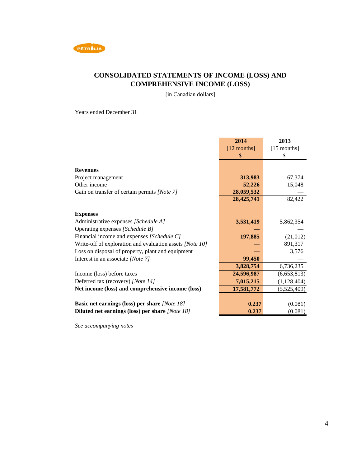

# **CONSOLIDATED STATEMENTS OF INCOME (LOSS) AND COMPREHENSIVE INCOME (LOSS)**

[in Canadian dollars]

Years ended December 31

|                                                          | 2014          | 2013          |
|----------------------------------------------------------|---------------|---------------|
|                                                          | $[12$ months] | $[15$ months] |
|                                                          | \$            | \$            |
|                                                          |               |               |
| <b>Revenues</b>                                          |               |               |
| Project management                                       | 313,983       | 67,374        |
| Other income                                             | 52,226        | 15,048        |
| Gain on transfer of certain permits [Note 7]             | 28,059,532    |               |
|                                                          | 28,425,741    | 82,422        |
|                                                          |               |               |
| <b>Expenses</b>                                          |               |               |
| Administrative expenses [Schedule A]                     | 3,531,419     | 5,862,354     |
| Operating expenses [Schedule B]                          |               |               |
| Financial income and expenses [Schedule C]               | 197,885       | (21,012)      |
| Write-off of exploration and evaluation assets [Note 10] |               | 891,317       |
| Loss on disposal of property, plant and equipment        |               | 3,576         |
| Interest in an associate [Note 7]                        | 99,450        |               |
|                                                          | 3,828,754     | 6,736,235     |
| Income (loss) before taxes                               | 24,596,987    | (6,653,813)   |
| Deferred tax (recovery) [Note 14]                        | 7,015,215     | (1, 128, 404) |
| Net income (loss) and comprehensive income (loss)        | 17,581,772    | (5,525,409)   |
|                                                          |               |               |
| <b>Basic net earnings (loss) per share [Note 18]</b>     | 0.237         | (0.081)       |
| Diluted net earnings (loss) per share [Note 18]          | 0.237         | (0.081)       |

*See accompanying notes*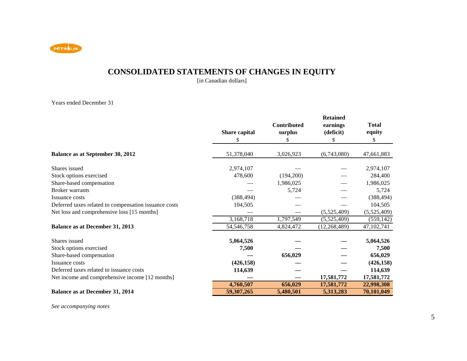

# **CONSOLIDATED STATEMENTS OF CHANGES IN EQUITY**

[in Canadian dollars]

### Years ended December 31

|                                                       | <b>Share capital</b> | Contributed<br>surplus | <b>Retained</b><br>earnings<br>(deficit) | <b>Total</b><br>equity |
|-------------------------------------------------------|----------------------|------------------------|------------------------------------------|------------------------|
|                                                       | S                    |                        | S                                        | \$                     |
| Balance as at September 30, 2012                      | 51,378,040           | 3,026,923              | (6,743,080)                              | 47,661,883             |
| Shares issued                                         | 2,974,107            |                        |                                          | 2,974,107              |
| Stock options exercised                               | 478,600              | (194,200)              |                                          | 284,400                |
| Share-based compensation                              |                      | 1,986,025              |                                          | 1,986,025              |
| <b>Broker</b> warrants                                |                      | 5,724                  |                                          | 5,724                  |
| Issuance costs                                        | (388, 494)           |                        |                                          | (388, 494)             |
| Deferred taxes related to compensation issuance costs | 104,505              |                        |                                          | 104,505                |
| Net loss and comprehensive loss [15 months]           |                      |                        | (5,525,409)                              | (5,525,409)            |
|                                                       | 3,168,718            | 1,797,549              | (5,525,409)                              | (559, 142)             |
| <b>Balance as at December 31, 2013</b>                | 54,546,758           | 4,824,472              | (12, 268, 489)                           | 47, 102, 741           |
| Shares issued                                         | 5,064,526            |                        |                                          | 5,064,526              |
| Stock options exercised                               | 7,500                |                        |                                          | 7,500                  |
| Share-based compensation                              |                      | 656,029                |                                          | 656,029                |
| Issuance costs                                        | (426, 158)           |                        |                                          | (426, 158)             |
| Deferred taxes related to issuance costs              | 114,639              |                        |                                          | 114,639                |
| Net income and comprehensive income [12 months]       |                      |                        | 17,581,772                               | 17,581,772             |
|                                                       | 4,760,507            | 656,029                | 17,581,772                               | 22,998,308             |
| <b>Balance as at December 31, 2014</b>                | 59,307,265           | 5,480,501              | 5,313,283                                | 70,101,049             |

*See accompanying notes*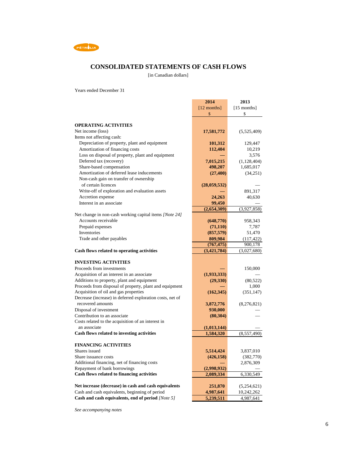

## **CONSOLIDATED STATEMENTS OF CASH FLOWS**

[in Canadian dollars]

Years ended December 31

|                                                           | 2014          | 2013          |
|-----------------------------------------------------------|---------------|---------------|
|                                                           | $[12$ months] | $[15$ months] |
|                                                           | \$            | \$            |
|                                                           |               |               |
| <b>OPERATING ACTIVITIES</b>                               |               |               |
| Net income (loss)                                         | 17,581,772    | (5,525,409)   |
| Items not affecting cash:                                 |               |               |
| Depreciation of property, plant and equipment             | 101,312       | 129,447       |
| Amortization of financing costs                           | 112,404       | 10,219        |
| Loss on disposal of property, plant and equipment         |               | 3,576         |
| Deferred tax (recovery)                                   | 7,015,215     | (1,128,404)   |
| Share-based compensation                                  | 498,207       | 1,685,017     |
| Amortization of deferred lease inducements                | (27, 400)     | (34,251)      |
| Non-cash gain on transfer of ownership                    |               |               |
| of certain licences                                       | (28,059,532)  |               |
| Write-off of exploration and evaluation assets            |               | 891,317       |
| Accretion expense                                         | 24,263        | 40,630        |
| Interest in an associate                                  | 99,450        |               |
|                                                           | (2,654,309)   | (3,927,858)   |
| Net change in non-cash working capital items [Note 24]    |               |               |
| Accounts receivable                                       | (648,770)     | 958,343       |
| Prepaid expenses                                          | (71, 110)     | 7,787         |
| Inventories                                               | (857, 579)    | 51,470        |
| Trade and other payables                                  | 809,984       | (117, 422)    |
|                                                           | (767, 475)    | 900,178       |
| Cash flows related to operating activities                | (3,421,784)   | (3,027,680)   |
|                                                           |               |               |
| <b>INVESTING ACTIVITIES</b>                               |               |               |
| Proceeds from investments                                 |               | 150,000       |
| Acquisition of an interest in an associate                | (1,933,333)   |               |
| Additions to property, plant and equipment                | (29, 330)     | (80, 522)     |
| Proceeds from disposal of property, plant and equipment   |               | 1,000         |
| Acquisition of oil and gas properties                     | (162, 345)    | (351, 147)    |
| Decrease (increase) in deferred exploration costs, net of |               |               |
| recovered amounts                                         | 3,872,776     | (8,276,821)   |
| Disposal of investment                                    | 930,000       |               |
| Contribution to an associate                              | (80, 304)     |               |
| Costs related to the acquisition of an interest in        |               |               |
| an associate                                              | (1,013,144)   |               |
| Cash flows related to investing activities                | 1,584,320     | (8,557,490)   |
|                                                           |               |               |
| <b>FINANCING ACTIVITIES</b>                               |               |               |
| Shares issued                                             | 5,514,424     | 3,837,010     |
| Share issuance costs                                      | (426, 158)    | (382, 770)    |
| Additional financing, net of financing costs              |               | 2,876,309     |
| Repayment of bank borrowings                              | (2,998,932)   |               |
| Cash flows related to financing activities                | 2,089,334     | 6,330,549     |
|                                                           |               |               |
| Net increase (decrease) in cash and cash equivalents      | 251,870       | (5,254,621)   |
| Cash and cash equivalents, beginning of period            | 4,987,641     | 10,242,262    |
| Cash and cash equivalents, end of period [Note 5]         | 5,239,511     | 4,987,641     |

*See accompanying notes*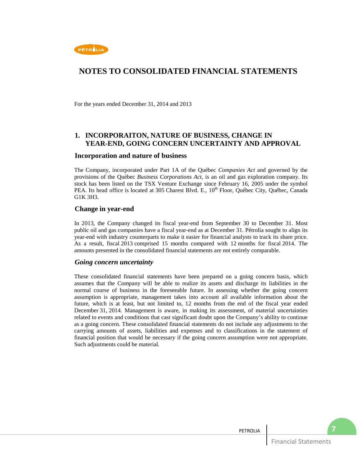

For the years ended December 31, 2014 and 2013

## **1. INCORPORAITON, NATURE OF BUSINESS, CHANGE IN YEAR-END, GOING CONCERN UNCERTAINTY AND APPROVAL**

### **Incorporation and nature of business**

The Company, incorporated under Part 1A of the Québec *Companies Act* and governed by the provisions of the Québec *Business Corporations Act*, is an oil and gas exploration company. Its stock has been listed on the TSX Venture Exchange since February 16, 2005 under the symbol PEA. Its head office is located at 305 Charest Blvd. E., 10<sup>th</sup> Floor, Québec City, Québec, Canada G1K 3H3.

### **Change in year-end**

In 2013, the Company changed its fiscal year-end from September 30 to December 31. Most public oil and gas companies have a fiscal year-end as at December 31. Pétrolia sought to align its year-end with industry counterparts to make it easier for financial analysts to track its share price. As a result, fiscal 2013 comprised 15 months compared with 12 months for fiscal 2014. The amounts presented in the consolidated financial statements are not entirely comparable.

### *Going concern uncertainty*

These consolidated financial statements have been prepared on a going concern basis, which assumes that the Company will be able to realize its assets and discharge its liabilities in the normal course of business in the foreseeable future. In assessing whether the going concern assumption is appropriate, management takes into account all available information about the future, which is at least, but not limited to, 12 months from the end of the fiscal year ended December 31, 2014. Management is aware, in making its assessment, of material uncertainties related to events and conditions that cast significant doubt upon the Company's ability to continue as a going concern. These consolidated financial statements do not include any adjustments to the carrying amounts of assets, liabilities and expenses and to classifications in the statement of financial position that would be necessary if the going concern assumption were not appropriate. Such adjustments could be material.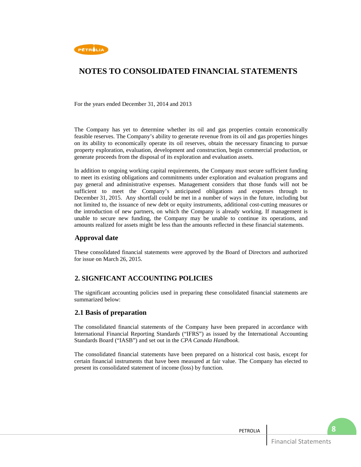

For the years ended December 31, 2014 and 2013

The Company has yet to determine whether its oil and gas properties contain economically feasible reserves. The Company's ability to generate revenue from its oil and gas properties hinges on its ability to economically operate its oil reserves, obtain the necessary financing to pursue property exploration, evaluation, development and construction, begin commercial production, or generate proceeds from the disposal of its exploration and evaluation assets.

In addition to ongoing working capital requirements, the Company must secure sufficient funding to meet its existing obligations and commitments under exploration and evaluation programs and pay general and administrative expenses. Management considers that those funds will not be sufficient to meet the Company's anticipated obligations and expenses through to December 31, 2015. Any shortfall could be met in a number of ways in the future, including but not limited to, the issuance of new debt or equity instruments, additional cost-cutting measures or the introduction of new partners, on which the Company is already working. If management is unable to secure new funding, the Company may be unable to continue its operations, and amounts realized for assets might be less than the amounts reflected in these financial statements.

## **Approval date**

These consolidated financial statements were approved by the Board of Directors and authorized for issue on March 26, 2015.

## **2. SIGNFICANT ACCOUNTING POLICIES**

The significant accounting policies used in preparing these consolidated financial statements are summarized below:

### **2.1 Basis of preparation**

The consolidated financial statements of the Company have been prepared in accordance with International Financial Reporting Standards ("IFRS") as issued by the International Accounting Standards Board ("IASB") and set out in the *CPA Canada Handbook*.

The consolidated financial statements have been prepared on a historical cost basis, except for certain financial instruments that have been measured at fair value. The Company has elected to present its consolidated statement of income (loss) by function.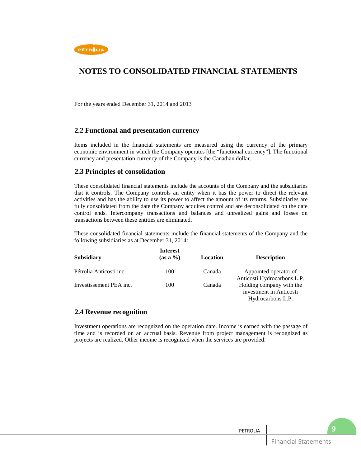

For the years ended December 31, 2014 and 2013

### **2.2 Functional and presentation currency**

Items included in the financial statements are measured using the currency of the primary economic environment in which the Company operates [the "functional currency"]. The functional currency and presentation currency of the Company is the Canadian dollar.

### **2.3 Principles of consolidation**

These consolidated financial statements include the accounts of the Company and the subsidiaries that it controls. The Company controls an entity when it has the power to direct the relevant activities and has the ability to use its power to affect the amount of its returns. Subsidiaries are fully consolidated from the date the Company acquires control and are deconsolidated on the date control ends. Intercompany transactions and balances and unrealized gains and losses on transactions between these entities are eliminated.

These consolidated financial statements include the financial statements of the Company and the following subsidiaries as at December 31, 2014:

|                         | <b>Interest</b> |          |                                                         |
|-------------------------|-----------------|----------|---------------------------------------------------------|
| <b>Subsidiary</b>       | $(as a \%)$     | Location | <b>Description</b>                                      |
| Pétrolia Anticosti inc. | 100             | Canada   | Appointed operator of                                   |
| Investissement PEA inc. | 100             | Canada   | Anticosti Hydrocarbons L.P.<br>Holding company with the |
|                         |                 |          | investment in Anticosti                                 |
|                         |                 |          | Hydrocarbons L.P.                                       |

### **2.4 Revenue recognition**

Investment operations are recognized on the operation date. Income is earned with the passage of time and is recorded on an accrual basis. Revenue from project management is recognized as projects are realized. Other income is recognized when the services are provided.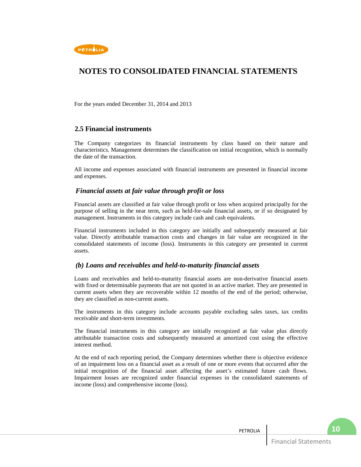

For the years ended December 31, 2014 and 2013

### **2.5 Financial instruments**

The Company categorizes its financial instruments by class based on their nature and characteristics. Management determines the classification on initial recognition, which is normally the date of the transaction.

All income and expenses associated with financial instruments are presented in financial income and expenses.

### *Financial assets at fair value through profit or loss*

Financial assets are classified at fair value through profit or loss when acquired principally for the purpose of selling in the near term, such as held-for-sale financial assets, or if so designated by management. Instruments in this category include cash and cash equivalents.

Financial instruments included in this category are initially and subsequently measured at fair value. Directly attributable transaction costs and changes in fair value are recognized in the consolidated statements of income (loss). Instruments in this category are presented in current assets.

### *(b) Loans and receivables and held-to-maturity financial assets*

Loans and receivables and held-to-maturity financial assets are non-derivative financial assets with fixed or determinable payments that are not quoted in an active market. They are presented in current assets when they are recoverable within 12 months of the end of the period; otherwise, they are classified as non-current assets.

The instruments in this category include accounts payable excluding sales taxes, tax credits receivable and short-term investments.

The financial instruments in this category are initially recognized at fair value plus directly attributable transaction costs and subsequently measured at amortized cost using the effective interest method.

At the end of each reporting period, the Company determines whether there is objective evidence of an impairment loss on a financial asset as a result of one or more events that occurred after the initial recognition of the financial asset affecting the asset's estimated future cash flows. Impairment losses are recognized under financial expenses in the consolidated statements of income (loss) and comprehensive income (loss).

**10**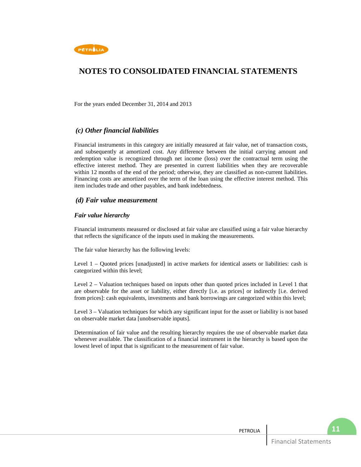

For the years ended December 31, 2014 and 2013

## *(c) Other financial liabilities*

Financial instruments in this category are initially measured at fair value, net of transaction costs, and subsequently at amortized cost. Any difference between the initial carrying amount and redemption value is recognized through net income (loss) over the contractual term using the effective interest method. They are presented in current liabilities when they are recoverable within 12 months of the end of the period; otherwise, they are classified as non-current liabilities. Financing costs are amortized over the term of the loan using the effective interest method. This item includes trade and other payables, and bank indebtedness.

### *(d) Fair value measurement*

### *Fair value hierarchy*

Financial instruments measured or disclosed at fair value are classified using a fair value hierarchy that reflects the significance of the inputs used in making the measurements.

The fair value hierarchy has the following levels:

Level 1 – Quoted prices [unadjusted] in active markets for identical assets or liabilities: cash is categorized within this level;

Level 2 – Valuation techniques based on inputs other than quoted prices included in Level 1 that are observable for the asset or liability, either directly [i.e. as prices] or indirectly [i.e. derived from prices]: cash equivalents, investments and bank borrowings are categorized within this level;

Level 3 – Valuation techniques for which any significant input for the asset or liability is not based on observable market data [unobservable inputs].

Determination of fair value and the resulting hierarchy requires the use of observable market data whenever available. The classification of a financial instrument in the hierarchy is based upon the lowest level of input that is significant to the measurement of fair value.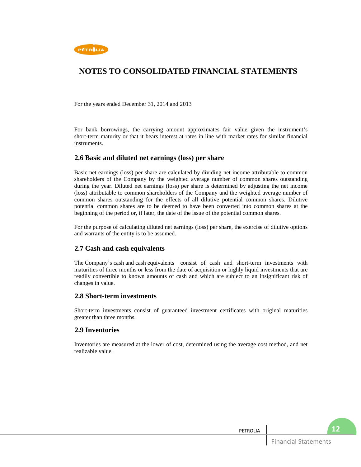

For the years ended December 31, 2014 and 2013

For bank borrowings, the carrying amount approximates fair value given the instrument's short-term maturity or that it bears interest at rates in line with market rates for similar financial instruments.

### **2.6 Basic and diluted net earnings (loss) per share**

Basic net earnings (loss) per share are calculated by dividing net income attributable to common shareholders of the Company by the weighted average number of common shares outstanding during the year. Diluted net earnings (loss) per share is determined by adjusting the net income (loss) attributable to common shareholders of the Company and the weighted average number of common shares outstanding for the effects of all dilutive potential common shares. Dilutive potential common shares are to be deemed to have been converted into common shares at the beginning of the period or, if later, the date of the issue of the potential common shares.

For the purpose of calculating diluted net earnings (loss) per share, the exercise of dilutive options and warrants of the entity is to be assumed.

## **2.7 Cash and cash equivalents**

The Company's cash and cash equivalents consist of cash and short-term investments with maturities of three months or less from the date of acquisition or highly liquid investments that are readily convertible to known amounts of cash and which are subject to an insignificant risk of changes in value.

### **2.8 Short-term investments**

Short-term investments consist of guaranteed investment certificates with original maturities greater than three months.

### **2.9 Inventories**

Inventories are measured at the lower of cost, determined using the average cost method, and net realizable value.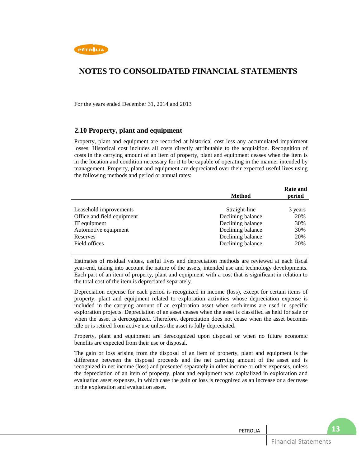

For the years ended December 31, 2014 and 2013

### **2.10 Property, plant and equipment**

Property, plant and equipment are recorded at historical cost less any accumulated impairment losses. Historical cost includes all costs directly attributable to the acquisition. Recognition of costs in the carrying amount of an item of property, plant and equipment ceases when the item is in the location and condition necessary for it to be capable of operating in the manner intended by management. Property, plant and equipment are depreciated over their expected useful lives using the following methods and period or annual rates:

|                            | <b>Method</b>     | <b>Rate and</b><br>period |
|----------------------------|-------------------|---------------------------|
|                            |                   |                           |
| Leasehold improvements     | Straight-line     | 3 years                   |
| Office and field equipment | Declining balance | 20%                       |
| IT equipment               | Declining balance | 30%                       |
| Automotive equipment       | Declining balance | 30%                       |
| Reserves                   | Declining balance | 20%                       |
| Field offices              | Declining balance | 20%                       |
|                            |                   |                           |

Estimates of residual values, useful lives and depreciation methods are reviewed at each fiscal year-end, taking into account the nature of the assets, intended use and technology developments. Each part of an item of property, plant and equipment with a cost that is significant in relation to the total cost of the item is depreciated separately.

Depreciation expense for each period is recognized in income (loss), except for certain items of property, plant and equipment related to exploration activities whose depreciation expense is included in the carrying amount of an exploration asset when such items are used in specific exploration projects. Depreciation of an asset ceases when the asset is classified as held for sale or when the asset is derecognized. Therefore, depreciation does not cease when the asset becomes idle or is retired from active use unless the asset is fully depreciated.

Property, plant and equipment are derecognized upon disposal or when no future economic benefits are expected from their use or disposal.

The gain or loss arising from the disposal of an item of property, plant and equipment is the difference between the disposal proceeds and the net carrying amount of the asset and is recognized in net income (loss) and presented separately in other income or other expenses, unless the depreciation of an item of property, plant and equipment was capitalized in exploration and evaluation asset expenses, in which case the gain or loss is recognized as an increase or a decrease in the exploration and evaluation asset.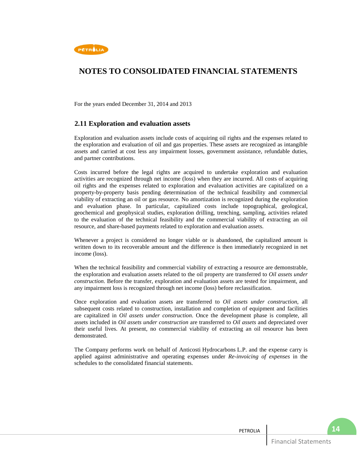

For the years ended December 31, 2014 and 2013

## **2.11 Exploration and evaluation assets**

Exploration and evaluation assets include costs of acquiring oil rights and the expenses related to the exploration and evaluation of oil and gas properties. These assets are recognized as intangible assets and carried at cost less any impairment losses, government assistance, refundable duties, and partner contributions.

Costs incurred before the legal rights are acquired to undertake exploration and evaluation activities are recognized through net income (loss) when they are incurred. All costs of acquiring oil rights and the expenses related to exploration and evaluation activities are capitalized on a property-by-property basis pending determination of the technical feasibility and commercial viability of extracting an oil or gas resource. No amortization is recognized during the exploration and evaluation phase. In particular, capitalized costs include topographical, geological, geochemical and geophysical studies, exploration drilling, trenching, sampling, activities related to the evaluation of the technical feasibility and the commercial viability of extracting an oil resource, and share-based payments related to exploration and evaluation assets.

Whenever a project is considered no longer viable or is abandoned, the capitalized amount is written down to its recoverable amount and the difference is then immediately recognized in net income (loss).

When the technical feasibility and commercial viability of extracting a resource are demonstrable, the exploration and evaluation assets related to the oil property are transferred to *Oil assets under construction*. Before the transfer, exploration and evaluation assets are tested for impairment, and any impairment loss is recognized through net income (loss) before reclassification.

Once exploration and evaluation assets are transferred to *Oil assets under construction*, all subsequent costs related to construction, installation and completion of equipment and facilities are capitalized in *Oil assets under construction*. Once the development phase is complete, all assets included in *Oil assets under construction* are transferred to *Oil assets* and depreciated over their useful lives. At present, no commercial viability of extracting an oil resource has been demonstrated.

The Company performs work on behalf of Anticosti Hydrocarbons L.P. and the expense carry is applied against administrative and operating expenses under *Re-invoicing of expenses* in the schedules to the consolidated financial statements.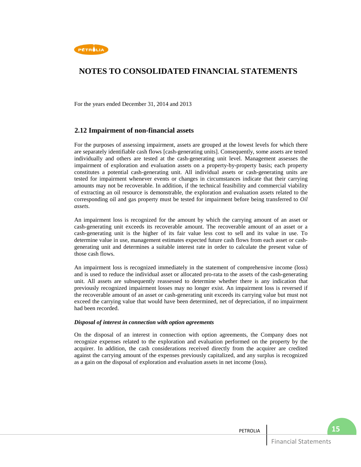

For the years ended December 31, 2014 and 2013

### **2.12 Impairment of non-financial assets**

For the purposes of assessing impairment, assets are grouped at the lowest levels for which there are separately identifiable cash flows [cash-generating units]. Consequently, some assets are tested individually and others are tested at the cash-generating unit level. Management assesses the impairment of exploration and evaluation assets on a property-by-property basis; each property constitutes a potential cash-generating unit. All individual assets or cash-generating units are tested for impairment whenever events or changes in circumstances indicate that their carrying amounts may not be recoverable. In addition, if the technical feasibility and commercial viability of extracting an oil resource is demonstrable, the exploration and evaluation assets related to the corresponding oil and gas property must be tested for impairment before being transferred to *Oil assets*.

An impairment loss is recognized for the amount by which the carrying amount of an asset or cash-generating unit exceeds its recoverable amount. The recoverable amount of an asset or a cash-generating unit is the higher of its fair value less cost to sell and its value in use. To determine value in use, management estimates expected future cash flows from each asset or cashgenerating unit and determines a suitable interest rate in order to calculate the present value of those cash flows.

An impairment loss is recognized immediately in the statement of comprehensive income (loss) and is used to reduce the individual asset or allocated pro-rata to the assets of the cash-generating unit. All assets are subsequently reassessed to determine whether there is any indication that previously recognized impairment losses may no longer exist. An impairment loss is reversed if the recoverable amount of an asset or cash-generating unit exceeds its carrying value but must not exceed the carrying value that would have been determined, net of depreciation, if no impairment had been recorded.

#### *Disposal of interest in connection with option agreements*

On the disposal of an interest in connection with option agreements, the Company does not recognize expenses related to the exploration and evaluation performed on the property by the acquirer. In addition, the cash considerations received directly from the acquirer are credited against the carrying amount of the expenses previously capitalized, and any surplus is recognized as a gain on the disposal of exploration and evaluation assets in net income (loss).

**15**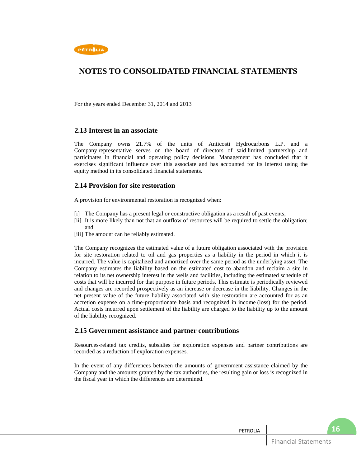

For the years ended December 31, 2014 and 2013

### **2.13 Interest in an associate**

The Company owns 21.7% of the units of Anticosti Hydrocarbons L.P. and a Company representative serves on the board of directors of said limited partnership and participates in financial and operating policy decisions. Management has concluded that it exercises significant influence over this associate and has accounted for its interest using the equity method in its consolidated financial statements.

### **2.14 Provision for site restoration**

A provision for environmental restoration is recognized when:

- [i] The Company has a present legal or constructive obligation as a result of past events;
- [ii] It is more likely than not that an outflow of resources will be required to settle the obligation; and
- [iii] The amount can be reliably estimated.

The Company recognizes the estimated value of a future obligation associated with the provision for site restoration related to oil and gas properties as a liability in the period in which it is incurred. The value is capitalized and amortized over the same period as the underlying asset. The Company estimates the liability based on the estimated cost to abandon and reclaim a site in relation to its net ownership interest in the wells and facilities, including the estimated schedule of costs that will be incurred for that purpose in future periods. This estimate is periodically reviewed and changes are recorded prospectively as an increase or decrease in the liability. Changes in the net present value of the future liability associated with site restoration are accounted for as an accretion expense on a time-proportionate basis and recognized in income (loss) for the period. Actual costs incurred upon settlement of the liability are charged to the liability up to the amount of the liability recognized.

### **2.15 Government assistance and partner contributions**

Resources-related tax credits, subsidies for exploration expenses and partner contributions are recorded as a reduction of exploration expenses.

In the event of any differences between the amounts of government assistance claimed by the Company and the amounts granted by the tax authorities, the resulting gain or loss is recognized in the fiscal year in which the differences are determined.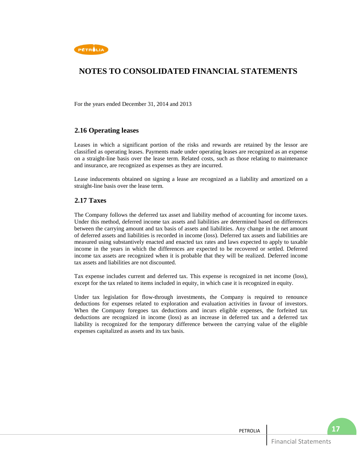

For the years ended December 31, 2014 and 2013

## **2.16 Operating leases**

Leases in which a significant portion of the risks and rewards are retained by the lessor are classified as operating leases. Payments made under operating leases are recognized as an expense on a straight-line basis over the lease term. Related costs, such as those relating to maintenance and insurance, are recognized as expenses as they are incurred.

Lease inducements obtained on signing a lease are recognized as a liability and amortized on a straight-line basis over the lease term.

### **2.17 Taxes**

The Company follows the deferred tax asset and liability method of accounting for income taxes. Under this method, deferred income tax assets and liabilities are determined based on differences between the carrying amount and tax basis of assets and liabilities. Any change in the net amount of deferred assets and liabilities is recorded in income (loss). Deferred tax assets and liabilities are measured using substantively enacted and enacted tax rates and laws expected to apply to taxable income in the years in which the differences are expected to be recovered or settled. Deferred income tax assets are recognized when it is probable that they will be realized. Deferred income tax assets and liabilities are not discounted.

Tax expense includes current and deferred tax. This expense is recognized in net income (loss), except for the tax related to items included in equity, in which case it is recognized in equity.

Under tax legislation for flow-through investments, the Company is required to renounce deductions for expenses related to exploration and evaluation activities in favour of investors. When the Company foregoes tax deductions and incurs eligible expenses, the forfeited tax deductions are recognized in income (loss) as an increase in deferred tax and a deferred tax liability is recognized for the temporary difference between the carrying value of the eligible expenses capitalized as assets and its tax basis.

| PETROLIA |                             |  |
|----------|-----------------------------|--|
|          | <b>Financial Statements</b> |  |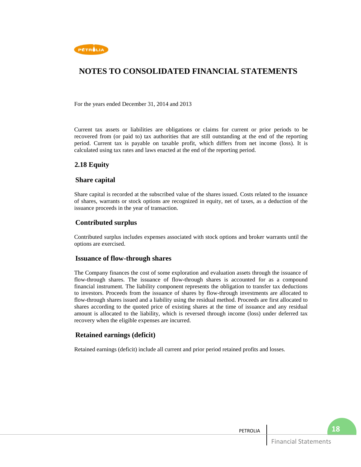

For the years ended December 31, 2014 and 2013

Current tax assets or liabilities are obligations or claims for current or prior periods to be recovered from (or paid to) tax authorities that are still outstanding at the end of the reporting period. Current tax is payable on taxable profit, which differs from net income (loss). It is calculated using tax rates and laws enacted at the end of the reporting period.

## **2.18 Equity**

### **Share capital**

Share capital is recorded at the subscribed value of the shares issued. Costs related to the issuance of shares, warrants or stock options are recognized in equity, net of taxes, as a deduction of the issuance proceeds in the year of transaction.

### **Contributed surplus**

Contributed surplus includes expenses associated with stock options and broker warrants until the options are exercised.

### **Issuance of flow-through shares**

The Company finances the cost of some exploration and evaluation assets through the issuance of flow-through shares. The issuance of flow-through shares is accounted for as a compound financial instrument. The liability component represents the obligation to transfer tax deductions to investors. Proceeds from the issuance of shares by flow-through investments are allocated to flow-through shares issued and a liability using the residual method. Proceeds are first allocated to shares according to the quoted price of existing shares at the time of issuance and any residual amount is allocated to the liability, which is reversed through income (loss) under deferred tax recovery when the eligible expenses are incurred.

### **Retained earnings (deficit)**

Retained earnings (deficit) include all current and prior period retained profits and losses.

PETROLIA

**18**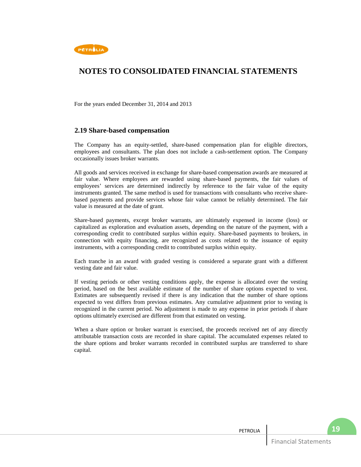

For the years ended December 31, 2014 and 2013

### **2.19 Share-based compensation**

The Company has an equity-settled, share-based compensation plan for eligible directors, employees and consultants. The plan does not include a cash-settlement option. The Company occasionally issues broker warrants.

All goods and services received in exchange for share-based compensation awards are measured at fair value. Where employees are rewarded using share-based payments, the fair values of employees' services are determined indirectly by reference to the fair value of the equity instruments granted. The same method is used for transactions with consultants who receive sharebased payments and provide services whose fair value cannot be reliably determined. The fair value is measured at the date of grant.

Share-based payments, except broker warrants, are ultimately expensed in income (loss) or capitalized as exploration and evaluation assets, depending on the nature of the payment, with a corresponding credit to contributed surplus within equity. Share-based payments to brokers, in connection with equity financing, are recognized as costs related to the issuance of equity instruments, with a corresponding credit to contributed surplus within equity.

Each tranche in an award with graded vesting is considered a separate grant with a different vesting date and fair value.

If vesting periods or other vesting conditions apply, the expense is allocated over the vesting period, based on the best available estimate of the number of share options expected to vest. Estimates are subsequently revised if there is any indication that the number of share options expected to vest differs from previous estimates. Any cumulative adjustment prior to vesting is recognized in the current period. No adjustment is made to any expense in prior periods if share options ultimately exercised are different from that estimated on vesting.

When a share option or broker warrant is exercised, the proceeds received net of any directly attributable transaction costs are recorded in share capital. The accumulated expenses related to the share options and broker warrants recorded in contributed surplus are transferred to share capital.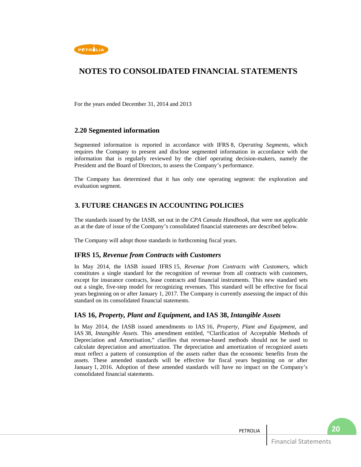

For the years ended December 31, 2014 and 2013

### **2.20 Segmented information**

Segmented information is reported in accordance with IFRS 8, *Operating Segments*, which requires the Company to present and disclose segmented information in accordance with the information that is regularly reviewed by the chief operating decision-makers, namely the President and the Board of Directors, to assess the Company's performance.

The Company has determined that it has only one operating segment: the exploration and evaluation segment.

## **3. FUTURE CHANGES IN ACCOUNTING POLICIES**

The standards issued by the IASB, set out in the *CPA Canada Handbook*, that were not applicable as at the date of issue of the Company's consolidated financial statements are described below.

The Company will adopt those standards in forthcoming fiscal years.

### **IFRS 15,** *Revenue from Contracts with Customers*

In May 2014, the IASB issued IFRS 15, *Revenue from Contracts with Customers*, which constitutes a single standard for the recognition of revenue from all contracts with customers, except for insurance contracts, lease contracts and financial instruments. This new standard sets out a single, five-step model for recognizing revenues. This standard will be effective for fiscal years beginning on or after January 1, 2017. The Company is currently assessing the impact of this standard on its consolidated financial statements.

### **IAS 16,** *Property, Plant and Equipment***, and IAS 38,** *Intangible Assets*

In May 2014, the IASB issued amendments to IAS 16, *Property, Plant and Equipment*, and IAS 38, *Intangible Assets*. This amendment entitled, "Clarification of Acceptable Methods of Depreciation and Amortisation," clarifies that revenue-based methods should not be used to calculate depreciation and amortization. The depreciation and amortization of recognized assets must reflect a pattern of consumption of the assets rather than the economic benefits from the assets. These amended standards will be effective for fiscal years beginning on or after January 1, 2016. Adoption of these amended standards will have no impact on the Company's consolidated financial statements.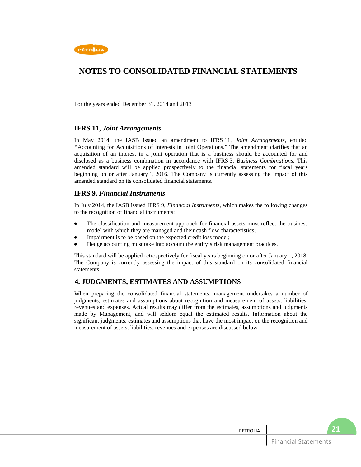

For the years ended December 31, 2014 and 2013

### **IFRS 11,** *Joint Arrangements*

In May 2014, the IASB issued an amendment to IFRS 11, *Joint Arrangements*, entitled *"*Accounting for Acquisitions of Interests in Joint Operations." The amendment clarifies that an acquisition of an interest in a joint operation that is a business should be accounted for and disclosed as a business combination in accordance with IFRS 3, *Business Combinations*. This amended standard will be applied prospectively to the financial statements for fiscal years beginning on or after January 1, 2016. The Company is currently assessing the impact of this amended standard on its consolidated financial statements.

### **IFRS 9,** *Financial Instruments*

In July 2014, the IASB issued IFRS 9, *Financial Instruments*, which makes the following changes to the recognition of financial instruments:

- The classification and measurement approach for financial assets must reflect the business model with which they are managed and their cash flow characteristics;
- Impairment is to be based on the expected credit loss model;
- Hedge accounting must take into account the entity's risk management practices.

This standard will be applied retrospectively for fiscal years beginning on or after January 1, 2018. The Company is currently assessing the impact of this standard on its consolidated financial statements.

## **4. JUDGMENTS, ESTIMATES AND ASSUMPTIONS**

When preparing the consolidated financial statements, management undertakes a number of judgments, estimates and assumptions about recognition and measurement of assets, liabilities, revenues and expenses. Actual results may differ from the estimates, assumptions and judgments made by Management, and will seldom equal the estimated results. Information about the significant judgments, estimates and assumptions that have the most impact on the recognition and measurement of assets, liabilities, revenues and expenses are discussed below.

| <b>PETROLIA</b> |                            | ווגיט |
|-----------------|----------------------------|-------|
|                 | $-$<br>Statements<br>cial. |       |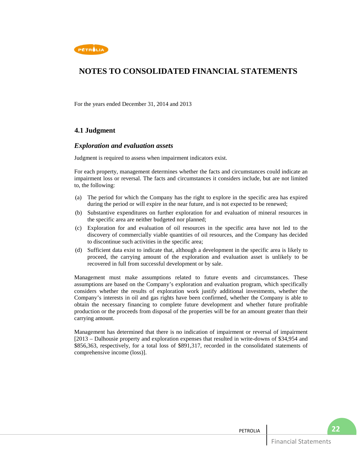

For the years ended December 31, 2014 and 2013

## **4.1 Judgment**

### *Exploration and evaluation assets*

Judgment is required to assess when impairment indicators exist.

For each property, management determines whether the facts and circumstances could indicate an impairment loss or reversal. The facts and circumstances it considers include, but are not limited to, the following:

- (a) The period for which the Company has the right to explore in the specific area has expired during the period or will expire in the near future, and is not expected to be renewed;
- (b) Substantive expenditures on further exploration for and evaluation of mineral resources in the specific area are neither budgeted nor planned;
- (c) Exploration for and evaluation of oil resources in the specific area have not led to the discovery of commercially viable quantities of oil resources, and the Company has decided to discontinue such activities in the specific area;
- (d) Sufficient data exist to indicate that, although a development in the specific area is likely to proceed, the carrying amount of the exploration and evaluation asset is unlikely to be recovered in full from successful development or by sale.

Management must make assumptions related to future events and circumstances. These assumptions are based on the Company's exploration and evaluation program, which specifically considers whether the results of exploration work justify additional investments, whether the Company's interests in oil and gas rights have been confirmed, whether the Company is able to obtain the necessary financing to complete future development and whether future profitable production or the proceeds from disposal of the properties will be for an amount greater than their carrying amount.

Management has determined that there is no indication of impairment or reversal of impairment [2013 – Dalhousie property and exploration expenses that resulted in write-downs of \$34,954 and \$856,363, respectively, for a total loss of \$891,317, recorded in the consolidated statements of comprehensive income (loss)].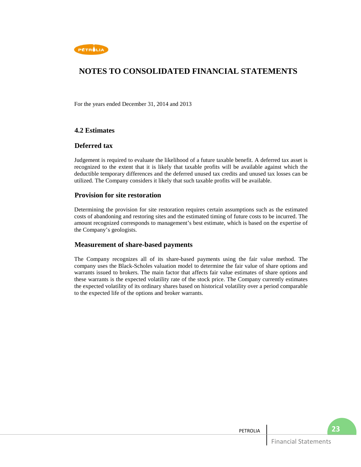

For the years ended December 31, 2014 and 2013

## **4.2 Estimates**

### **Deferred tax**

Judgement is required to evaluate the likelihood of a future taxable benefit. A deferred tax asset is recognized to the extent that it is likely that taxable profits will be available against which the deductible temporary differences and the deferred unused tax credits and unused tax losses can be utilized. The Company considers it likely that such taxable profits will be available.

### **Provision for site restoration**

Determining the provision for site restoration requires certain assumptions such as the estimated costs of abandoning and restoring sites and the estimated timing of future costs to be incurred. The amount recognized corresponds to management's best estimate, which is based on the expertise of the Company's geologists.

### **Measurement of share-based payments**

The Company recognizes all of its share-based payments using the fair value method. The company uses the Black-Scholes valuation model to determine the fair value of share options and warrants issued to brokers. The main factor that affects fair value estimates of share options and these warrants is the expected volatility rate of the stock price. The Company currently estimates the expected volatility of its ordinary shares based on historical volatility over a period comparable to the expected life of the options and broker warrants.

| PETROLIA |                             | <b>23</b> |
|----------|-----------------------------|-----------|
|          | <b>Financial Statements</b> |           |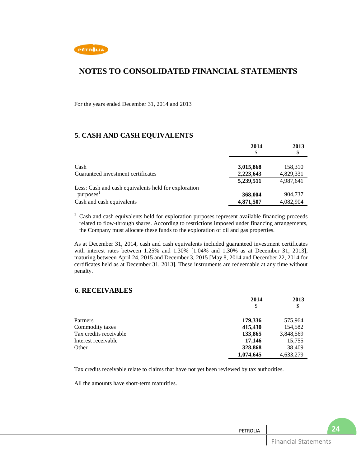

For the years ended December 31, 2014 and 2013

## **5. CASH AND CASH EQUIVALENTS**

|                                                      | 2014      | 2013      |  |
|------------------------------------------------------|-----------|-----------|--|
|                                                      |           | \$        |  |
|                                                      |           |           |  |
| Cash                                                 | 3,015,868 | 158,310   |  |
| Guaranteed investment certificates                   | 2,223,643 | 4,829,331 |  |
|                                                      | 5,239,511 | 4,987,641 |  |
| Less: Cash and cash equivalents held for exploration |           |           |  |
| purposes <sup>1</sup>                                | 368,004   | 904,737   |  |
| Cash and cash equivalents                            | 4,871,507 | 4,082,904 |  |

<sup>1</sup> Cash and cash equivalents held for exploration purposes represent available financing proceeds related to flow-through shares. According to restrictions imposed under financing arrangements, the Company must allocate these funds to the exploration of oil and gas properties.

As at December 31, 2014, cash and cash equivalents included guaranteed investment certificates with interest rates between  $1.25\%$  and  $1.30\%$  [1.04% and  $1.30\%$  as at December 31, 2013], maturing between April 24, 2015 and December 3, 2015 [May 8, 2014 and December 22, 2014 for certificates held as at December 31, 2013]. These instruments are redeemable at any time without penalty.

## **6. RECEIVABLES**

|                        | 2014      | 2013      |
|------------------------|-----------|-----------|
|                        | \$        | \$        |
| Partners               | 179,336   | 575,964   |
| Commodity taxes        | 415,430   | 154,582   |
| Tax credits receivable | 133,865   | 3,848,569 |
| Interest receivable    | 17,146    | 15,755    |
| Other                  | 328,868   | 38,409    |
|                        | 1,074,645 | 4,633,279 |

Tax credits receivable relate to claims that have not yet been reviewed by tax authorities.

All the amounts have short-term maturities.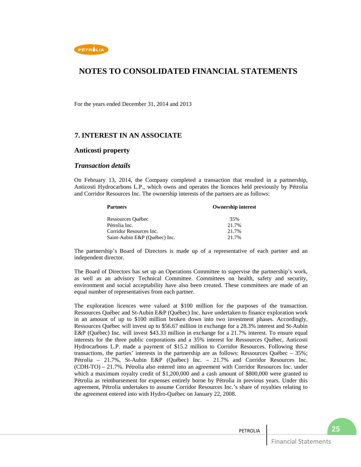

For the years ended December 31, 2014 and 2013

## **7. INTEREST IN AN ASSOCIATE**

### **Anticosti property**

### *Transaction details*

On February 13, 2014, the Company completed a transaction that resulted in a partnership, Anticosti Hydrocarbons L.P., which owns and operates the licences held previously by Pétrolia and Corridor Resources Inc. The ownership interests of the partners are as follows:

| <b>Partners</b>               | <b>Ownership interest</b> |
|-------------------------------|---------------------------|
| Ressources Québec             | 35%                       |
| Pétrolia Inc.                 | 21.7%                     |
| Corridor Resources Inc.       | 21.7%                     |
| Saint-Aubin E&P (Ouébec) Inc. | 21.7%                     |

The partnership's Board of Directors is made up of a representative of each partner and an independent director.

The Board of Directors has set up an Operations Committee to supervise the partnership's work, as well as an advisory Technical Committee. Committees on health, safety and security, environment and social acceptability have also been created. These committees are made of an equal number of representatives from each partner.

The exploration licences were valued at \$100 million for the purposes of the transaction. Ressources Québec and St-Aubin E&P (Québec) Inc. have undertaken to finance exploration work in an amount of up to \$100 million broken down into two investment phases. Accordingly, Ressources Québec will invest up to \$56.67 million in exchange for a 28.3% interest and St-Aubin E&P (Québec) Inc. will invest \$43.33 million in exchange for a 21.7% interest. To ensure equal interests for the three public corporations and a 35% interest for Ressources Québec, Anticosti Hydrocarbons L.P. made a payment of \$15.2 million to Corridor Resources. Following these transactions, the parties' interests in the partnership are as follows: Ressources Québec – 35%; Pétrolia – 21.7%, St-Aubin E&P (Québec) Inc. – 21.7% and Corridor Resources Inc. (CDH-TO) – 21.7%. Pétrolia also entered into an agreement with Corridor Resources Inc. under which a maximum royalty credit of \$1,200,000 and a cash amount of \$800,000 were granted to Pétrolia as reimbursement for expenses entirely borne by Pétrolia in previous years. Under this agreement, Pétrolia undertakes to assume Corridor Resources Inc.'s share of royalties relating to the agreement entered into with Hydro-Québec on January 22, 2008.

| PETROLIA |                             |  |
|----------|-----------------------------|--|
|          | <b>Financial Statements</b> |  |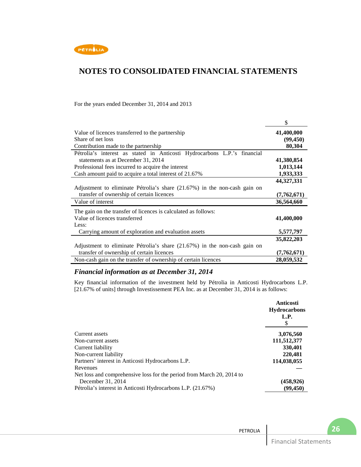

For the years ended December 31, 2014 and 2013

|                                                                           | \$          |
|---------------------------------------------------------------------------|-------------|
| Value of licences transferred to the partnership                          | 41,400,000  |
| Share of net loss                                                         | (99, 450)   |
| Contribution made to the partnership                                      | 80,304      |
| Pétrolia's interest as stated in Anticosti Hydrocarbons L.P.'s financial  |             |
| statements as at December 31, 2014                                        | 41,380,854  |
| Professional fees incurred to acquire the interest                        | 1,013,144   |
| Cash amount paid to acquire a total interest of 21.67%                    | 1,933,333   |
|                                                                           | 44,327,331  |
| Adjustment to eliminate Pétrolia's share (21.67%) in the non-cash gain on |             |
| transfer of ownership of certain licences                                 | (7,762,671) |
| Value of interest                                                         | 36,564,660  |
| The gain on the transfer of licences is calculated as follows:            |             |
| Value of licences transferred                                             | 41,400,000  |
| Less:                                                                     |             |
| Carrying amount of exploration and evaluation assets                      | 5,577,797   |
|                                                                           | 35,822,203  |
| Adjustment to eliminate Pétrolia's share (21.67%) in the non-cash gain on |             |
| transfer of ownership of certain licences                                 | (7,762,671) |
| Non-cash gain on the transfer of ownership of certain licences            | 28,059,532  |

## *Financial information as at December 31, 2014*

Key financial information of the investment held by Pétrolia in Anticosti Hydrocarbons L.P. [21.67% of units] through Investissement PEA Inc. as at December 31, 2014 is as follows:

|                                                                       | Anticosti           |
|-----------------------------------------------------------------------|---------------------|
|                                                                       | <b>Hydrocarbons</b> |
|                                                                       | L.P.                |
|                                                                       | S                   |
| Current assets                                                        | 3,076,560           |
| Non-current assets                                                    | 111,512,377         |
| Current liability                                                     | 330,401             |
| Non-current liability                                                 | 220,481             |
| Partners' interest in Anticosti Hydrocarbons L.P.                     | 114,038,055         |
| Revenues                                                              |                     |
| Net loss and comprehensive loss for the period from March 20, 2014 to |                     |
| December 31, 2014                                                     | (458, 926)          |
| Pétrolia's interest in Anticosti Hydrocarbons L.P. (21.67%)           | (99, 450)           |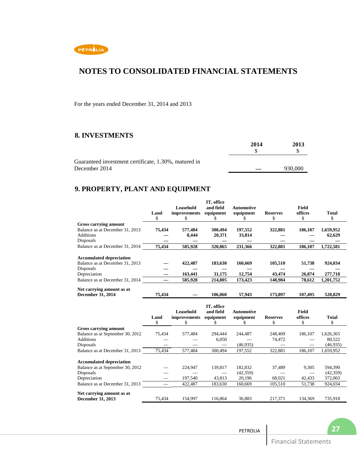

For the years ended December 31, 2014 and 2013

## **8. INVESTMENTS**

|                                                      | 2014 | 2013    |  |
|------------------------------------------------------|------|---------|--|
|                                                      |      |         |  |
| Guaranteed investment certificate, 1.30%, matured in |      |         |  |
| December 2014                                        |      | 930,000 |  |

## **9. PROPERTY, PLANT AND EQUIPMENT**

|                                                                    | Land<br>\$ | Leasehold<br>improvements<br>ж | IT, office<br>and field<br>equipment<br>ъ | <b>Automotive</b><br>equipment | <b>Reserves</b><br>S | <b>Field</b><br>offices<br>\$ | Total<br>\$ |
|--------------------------------------------------------------------|------------|--------------------------------|-------------------------------------------|--------------------------------|----------------------|-------------------------------|-------------|
| <b>Gross carrying amount</b>                                       |            |                                |                                           |                                |                      |                               |             |
| Balance as at December 31, 2013                                    | 75,434     | 577,484                        | 300,494                                   | 197,552                        | 322,881              | 186,107                       | 1,659,952   |
| <b>Additions</b>                                                   |            | 8,444                          | 20,371                                    | 33,814                         |                      |                               | 62,629      |
| Disposals                                                          |            |                                |                                           |                                |                      |                               |             |
| Balance as at December 31, 2014                                    | 75,434     | 585,928                        | 320,865                                   | 231,366                        | 322,881              | 186,107                       | 1,722,581   |
| <b>Accumulated depreciation</b><br>Balance as at December 31, 2013 |            | 422,487                        | 183,630                                   | 160,669                        | 105,510              | 51,738                        | 924,034     |
| Disposals                                                          |            |                                |                                           |                                |                      |                               |             |
| Depreciation                                                       |            | 163,441                        | 31,175                                    | 12,754                         | 43,474               | 26,874                        | 277,718     |
| Balance as at December 31, 2014                                    |            | 585,928                        | 214,805                                   | 173,423                        | 148.984              | 78.612                        | 1,201,752   |
| Net carrying amount as at<br><b>December 31, 2014</b>              | 75,434     |                                | 106.060                                   | 57,943                         | 173.897              | 107.495                       | 520,829     |

|                                  | Land<br>\$ | Leasehold<br><i>improvements</i> | IT, office<br>and field<br>equipment | Automotive<br>equipment | <b>Reserves</b><br>S | <b>Field</b><br>offices<br>S | <b>Total</b> |
|----------------------------------|------------|----------------------------------|--------------------------------------|-------------------------|----------------------|------------------------------|--------------|
| Gross carrying amount            |            |                                  |                                      |                         |                      |                              |              |
| Balance as at September 30, 2012 | 75,434     | 577,484                          | 294.444                              | 244,487                 | 248,409              | 186,107                      | 1,626,365    |
| <b>Additions</b>                 |            |                                  | 6,050                                |                         | 74,472               |                              | 80,522       |
| Disposals                        |            |                                  |                                      | (46,935)                |                      |                              | (46,935)     |
| Balance as at December 31, 2013  | 75,434     | 577,484                          | 300,494                              | 197,552                 | 322,881              | 186,107                      | 1,659,952    |
| <b>Accumulated depreciation</b>  |            |                                  |                                      |                         |                      |                              |              |
| Balance as at September 30, 2012 |            | 224,947                          | 139,817                              | 182.832                 | 37,489               | 9,305                        | 594,390      |
| Disposals                        |            |                                  |                                      | (42,359)                |                      |                              | (42, 359)    |
| Depreciation                     |            | 197,540                          | 43,813                               | 20,196                  | 68,021               | 42,433                       | 372,003      |
| Balance as at December 31, 2013  |            | 422.487                          | 183.630                              | 160.669                 | 105.510              | 51,738                       | 924,034      |
| Net carrying amount as at        |            |                                  |                                      |                         |                      |                              |              |
| <b>December 31, 2013</b>         | 75.434     | 154.997                          | 116.864                              | 36.883                  | 217,371              | 134.369                      | 735,918      |

PETROLIA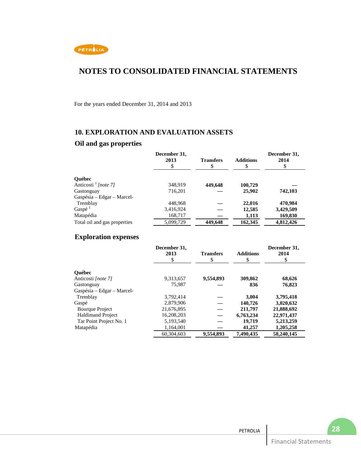

For the years ended December 31, 2014 and 2013

## **10. EXPLORATION AND EVALUATION ASSETS**

## **Oil and gas properties**

|                                  | December 31,<br>2013<br>S | <b>Transfers</b><br>\$ | <b>Additions</b><br>\$ | December 31,<br>2014<br>\$ |
|----------------------------------|---------------------------|------------------------|------------------------|----------------------------|
| <b>Ouébec</b>                    |                           |                        |                        |                            |
| Anticosti $\frac{1}{1}$ [note 7] | 348,919                   | 449,648                | 100,729                |                            |
| Gastonguay                       | 716.201                   |                        | 25,902                 | 742,103                    |
| Gaspésia – Edgar – Marcel-       |                           |                        |                        |                            |
| Tremblay                         | 448.968                   |                        | 22,016                 | 470.984                    |
| Gaspé <sup>1</sup>               | 3,416,924                 |                        | 12,585                 | 3,429,509                  |
| Matapédia                        | 168,717                   |                        | 1,113                  | 169,830                    |
| Total oil and gas properties     | 5,099,729                 | 449,648                | 162,345                | 4,812,426                  |

## **Exploration expenses**

|                            | December 31,<br>2013<br>S | <b>Transfers</b><br>S | <b>Additions</b><br>S | December 31,<br>2014<br>\$ |
|----------------------------|---------------------------|-----------------------|-----------------------|----------------------------|
| <b>Ouébec</b>              |                           |                       |                       |                            |
| Anticosti [note 7]         | 9,313,657                 | 9,554,893             | 309,862               | 68,626                     |
| Gastonguay                 | 75.987                    |                       | 836                   | 76,823                     |
| Gaspésia – Edgar – Marcel- |                           |                       |                       |                            |
| Tremblay                   | 3.792.414                 |                       | 3.004                 | 3,795,418                  |
| Gaspé                      | 2,879,906                 |                       | 140,726               | 3,020,632                  |
| <b>Bourque Project</b>     | 21,676,895                |                       | 211,797               | 21,888,692                 |
| <b>Haldimand Project</b>   | 16.208.203                |                       | 6,763,234             | 22,971,437                 |
| Tar Point Project No. 1    | 5,193,540                 |                       | 19,719                | 5,213,259                  |
| Matapédia                  | 1,164,001                 |                       | 41,257                | 1,205,258                  |
|                            | 60.304.603                | 9.554.893             | 7.490.435             | 58.240.145                 |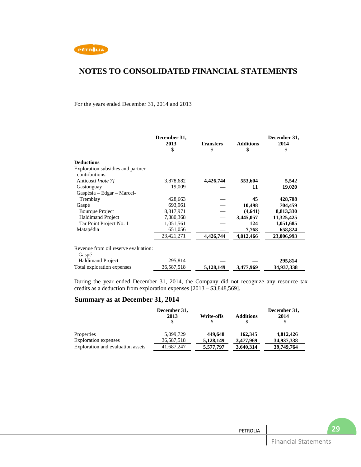

### For the years ended December 31, 2014 and 2013

|                                                     | December 31,<br>2013<br>\$ | <b>Transfers</b><br>\$ | <b>Additions</b><br>S | December 31,<br>2014<br>\$ |
|-----------------------------------------------------|----------------------------|------------------------|-----------------------|----------------------------|
| <b>Deductions</b>                                   |                            |                        |                       |                            |
| Exploration subsidies and partner<br>contributions: |                            |                        |                       |                            |
| Anticosti [note 7]                                  | 3,878,682                  | 4,426,744              | 553,604               | 5,542                      |
| Gastonguay                                          | 19,009                     |                        | 11                    | 19,020                     |
| Gaspésia – Edgar – Marcel-                          |                            |                        |                       |                            |
| Tremblay                                            | 428,663                    |                        | 45                    | 428,708                    |
| Gaspé                                               | 693.961                    |                        | 10,498                | 704,459                    |
| <b>Bourque Project</b>                              | 8,817,971                  |                        | (4,641)               | 8,813,330                  |
| <b>Haldimand Project</b>                            | 7,880,368                  |                        | 3,445,057             | 11,325,425                 |
| Tar Point Project No. 1                             | 1,051,561                  |                        | 124                   | 1,051,685                  |
| Matapédia                                           | 651,056                    |                        | 7,768                 | 658,824                    |
|                                                     | 23,421,271                 | 4,426,744              | 4,012,466             | 23,006,993                 |
| Revenue from oil reserve evaluation:<br>Gaspé       |                            |                        |                       |                            |
| <b>Haldimand Project</b>                            | 295,814                    |                        |                       | 295,814                    |
| Total exploration expenses                          | 36,587,518                 | 5,128,149              | 3,477,969             | 34,937,338                 |

During the year ended December 31, 2014, the Company did not recognize any resource tax credits as a deduction from exploration expenses [2013 – \$3,848,569].

## **Summary as at December 31, 2014**

|                                           | December 31,<br>2013    | <b>Write-offs</b>    | <b>Additions</b>     | December 31,<br>2014    |
|-------------------------------------------|-------------------------|----------------------|----------------------|-------------------------|
| Properties<br><b>Exploration</b> expenses | 5,099,729<br>36,587,518 | 449,648<br>5,128,149 | 162,345<br>3,477,969 | 4,812,426<br>34,937,338 |
| Exploration and evaluation assets         | 41,687,247              | 5,577,797            | 3,640,314            | 39,749,764              |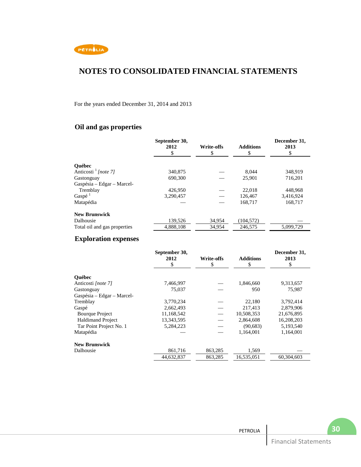

For the years ended December 31, 2014 and 2013

## **Oil and gas properties**

|                              | September 30,<br>2012 | <b>Write-offs</b><br>\$ | <b>Additions</b><br>\$ | December 31,<br>2013<br>\$ |
|------------------------------|-----------------------|-------------------------|------------------------|----------------------------|
| <b>Ouébec</b>                |                       |                         |                        |                            |
| Anticosti $1$ [note 7]       | 340,875               |                         | 8.044                  | 348.919                    |
| Gastonguay                   | 690,300               |                         | 25,901                 | 716,201                    |
| Gaspésia – Edgar – Marcel-   |                       |                         |                        |                            |
| Tremblay                     | 426,950               |                         | 22,018                 | 448.968                    |
| Gaspé <sup>1</sup>           | 3.290.457             |                         | 126,467                | 3,416,924                  |
| Matapédia                    |                       |                         | 168,717                | 168.717                    |
| <b>New Brunswick</b>         |                       |                         |                        |                            |
| Dalhousie                    | 139,526               | 34,954                  | (104, 572)             |                            |
| Total oil and gas properties | 4,888,108             | 34.954                  | 246,575                | 5,099,729                  |

## **Exploration expenses**

|                            | September 30,<br>2012<br>\$ | <b>Write-offs</b><br>\$ | <b>Additions</b><br>\$ | December 31,<br>2013<br>\$ |
|----------------------------|-----------------------------|-------------------------|------------------------|----------------------------|
| <b>Ouébec</b>              |                             |                         |                        |                            |
| Anticosti [note 7]         | 7,466,997                   |                         | 1,846,660              | 9,313,657                  |
| Gastonguay                 | 75,037                      |                         | 950                    | 75,987                     |
| Gaspésia – Edgar – Marcel- |                             |                         |                        |                            |
| Tremblay                   | 3,770,234                   |                         | 22,180                 | 3,792,414                  |
| Gaspé                      | 2,662,493                   |                         | 217,413                | 2,879,906                  |
| <b>Bourque Project</b>     | 11,168,542                  |                         | 10,508,353             | 21,676,895                 |
| <b>Haldimand Project</b>   | 13,343,595                  |                         | 2,864,608              | 16,208,203                 |
| Tar Point Project No. 1    | 5,284,223                   |                         | (90, 683)              | 5,193,540                  |
| Matapédia                  |                             |                         | 1.164.001              | 1,164,001                  |
| <b>New Brunswick</b>       |                             |                         |                        |                            |
| Dalhousie                  | 861,716                     | 863,285                 | 1,569                  |                            |
|                            | 44,632,837                  | 863,285                 | 16,535,051             | 60,304,603                 |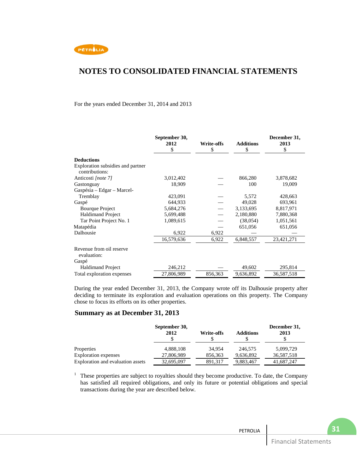

#### For the years ended December 31, 2014 and 2013

|                                                     | September 30,<br>2012<br>\$ | <b>Write-offs</b><br>\$ | <b>Additions</b><br>\$ | December 31,<br>2013<br>\$ |
|-----------------------------------------------------|-----------------------------|-------------------------|------------------------|----------------------------|
|                                                     |                             |                         |                        |                            |
| <b>Deductions</b>                                   |                             |                         |                        |                            |
| Exploration subsidies and partner<br>contributions: |                             |                         |                        |                            |
| Anticosti [note 7]                                  | 3,012,402                   |                         | 866,280                | 3,878,682                  |
| Gastonguay                                          | 18,909                      |                         | 100                    | 19,009                     |
| Gaspésia - Edgar - Marcel-                          |                             |                         |                        |                            |
| Tremblay                                            | 423,091                     |                         | 5,572                  | 428,663                    |
| Gaspé                                               | 644.933                     |                         | 49.028                 | 693,961                    |
| <b>Bourque Project</b>                              | 5,684,276                   |                         | 3,133,695              | 8,817,971                  |
| <b>Haldimand Project</b>                            | 5,699,488                   |                         | 2,180,880              | 7,880,368                  |
| Tar Point Project No. 1                             | 1,089,615                   |                         | (38,054)               | 1,051,561                  |
| Matapédia                                           |                             |                         | 651,056                | 651,056                    |
| Dalhousie                                           | 6,922                       | 6,922                   |                        |                            |
|                                                     | 16,579,636                  | 6,922                   | 6,848,557              | 23,421,271                 |
| Revenue from oil reserve<br>evaluation:             |                             |                         |                        |                            |
| Gaspé                                               |                             |                         |                        |                            |
| <b>Haldimand Project</b>                            | 246,212                     |                         | 49,602                 | 295,814                    |
| Total exploration expenses                          | 27,806,989                  | 856,363                 | 9,636,892              | 36,587,518                 |

During the year ended December 31, 2013, the Company wrote off its Dalhousie property after deciding to terminate its exploration and evaluation operations on this property. The Company chose to focus its efforts on its other properties.

### **Summary as at December 31, 2013**

|                                   | September 30,<br>2012 | <b>Write-offs</b> | <b>Additions</b> | December 31,<br>2013 |
|-----------------------------------|-----------------------|-------------------|------------------|----------------------|
| Properties                        | 4,888,108             | 34.954            | 246,575          | 5,099,729            |
| <b>Exploration</b> expenses       | 27,806,989            | 856,363           | 9,636,892        | 36,587,518           |
| Exploration and evaluation assets | 32,695,097            | 891.317           | 9,883,467        | 41,687,247           |

<sup>1</sup> These properties are subject to royalties should they become productive. To date, the Company has satisfied all required obligations, and only its future or potential obligations and special transactions during the year are described below.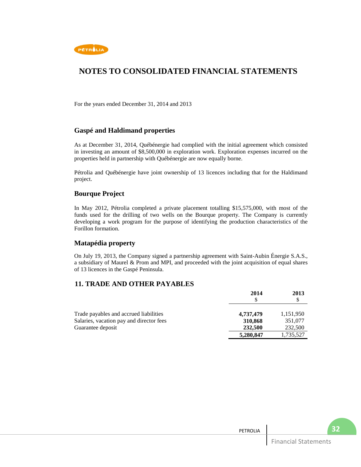

For the years ended December 31, 2014 and 2013

### **Gaspé and Haldimand properties**

As at December 31, 2014, Québénergie had complied with the initial agreement which consisted in investing an amount of \$8,500,000 in exploration work. Exploration expenses incurred on the properties held in partnership with Québénergie are now equally borne.

Pétrolia and Québénergie have joint ownership of 13 licences including that for the Haldimand project.

### **Bourque Project**

In May 2012, Pétrolia completed a private placement totalling \$15,575,000, with most of the funds used for the drilling of two wells on the Bourque property. The Company is currently developing a work program for the purpose of identifying the production characteristics of the Forillon formation.

### **Matapédia property**

On July 19, 2013, the Company signed a partnership agreement with Saint-Aubin Énergie S.A.S., a subsidiary of Maurel & Prom and MPI, and proceeded with the joint acquisition of equal shares of 13 licences in the Gaspé Peninsula.

### **11. TRADE AND OTHER PAYABLES**

|                                          | 2014      | 2013      |
|------------------------------------------|-----------|-----------|
| Trade payables and accrued liabilities   | 4,737,479 | 1,151,950 |
| Salaries, vacation pay and director fees | 310,868   | 351,077   |
| Guarantee deposit                        | 232,500   | 232,500   |
|                                          | 5,280,847 | 1,735,527 |

| PETROLIA |                             | DД |
|----------|-----------------------------|----|
|          | <b>Financial Statements</b> |    |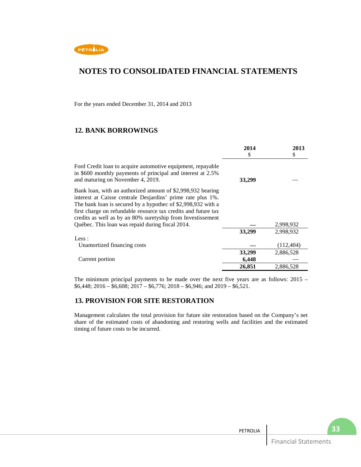

For the years ended December 31, 2014 and 2013

## **12. BANK BORROWINGS**

|                                                                                                                                                                                                                                                                                                                             | 2014<br>S | 2013<br>\$ |
|-----------------------------------------------------------------------------------------------------------------------------------------------------------------------------------------------------------------------------------------------------------------------------------------------------------------------------|-----------|------------|
| Ford Credit loan to acquire automotive equipment, repayable<br>in \$600 monthly payments of principal and interest at 2.5%<br>and maturing on November 4, 2019.                                                                                                                                                             | 33,299    |            |
| Bank loan, with an authorized amount of \$2,998,932 bearing<br>interest at Caisse centrale Desjardins' prime rate plus 1%.<br>The bank loan is secured by a hypothec of \$2,998,932 with a<br>first charge on refundable resource tax credits and future tax<br>credits as well as by an 80% suretyship from Investissement |           |            |
| Québec. This loan was repaid during fiscal 2014.                                                                                                                                                                                                                                                                            |           | 2,998,932  |
|                                                                                                                                                                                                                                                                                                                             | 33,299    | 2,998,932  |
| Less:                                                                                                                                                                                                                                                                                                                       |           |            |
| Unamortized financing costs                                                                                                                                                                                                                                                                                                 |           | (112, 404) |
|                                                                                                                                                                                                                                                                                                                             | 33,299    | 2,886,528  |
| Current portion                                                                                                                                                                                                                                                                                                             | 6,448     |            |
|                                                                                                                                                                                                                                                                                                                             | 26,851    | 2,886,528  |

The minimum principal payments to be made over the next five years are as follows: 2015 –  $$6,448; 2016 - $6,608; 2017 - $6,776; 2018 - $6,946;$  and  $2019 - $6,521$ .

## **13. PROVISION FOR SITE RESTORATION**

Management calculates the total provision for future site restoration based on the Company's net share of the estimated costs of abandoning and restoring wells and facilities and the estimated timing of future costs to be incurred.

| <b>PETROLIA</b> |                         | ್ನ<br>. |
|-----------------|-------------------------|---------|
|                 | Financial<br>Statements |         |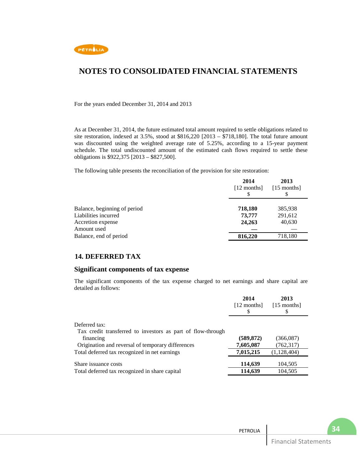

For the years ended December 31, 2014 and 2013

As at December 31, 2014, the future estimated total amount required to settle obligations related to site restoration, indexed at 3.5%, stood at \$816,220 [2013 – \$718,180]. The total future amount was discounted using the weighted average rate of 5.25%, according to a 15-year payment schedule. The total undiscounted amount of the estimated cash flows required to settle these obligations is \$922,375 [2013 – \$827,500].

The following table presents the reconciliation of the provision for site restoration:

|                              | 2014<br>$[12$ months] | 2013<br>$[15$ months] |
|------------------------------|-----------------------|-----------------------|
| Balance, beginning of period | 718,180               | 385,938               |
| Liabilities incurred         | 73,777                | 291,612               |
| Accretion expense            | 24,263                | 40,630                |
| Amount used                  |                       |                       |
| Balance, end of period       | 816,220               | 718,180               |

### **14. DEFERRED TAX**

### **Significant components of tax expense**

The significant components of the tax expense charged to net earnings and share capital are detailed as follows:

|                                                             | 2014<br>$[12$ months] | 2013<br>$[15$ months] |  |
|-------------------------------------------------------------|-----------------------|-----------------------|--|
| Deferred tax:                                               |                       |                       |  |
| Tax credit transferred to investors as part of flow-through |                       |                       |  |
| financing                                                   | (589, 872)            | (366,087)             |  |
| Origination and reversal of temporary differences           | 7,605,087             | (762, 317)            |  |
| Total deferred tax recognized in net earnings               | 7,015,215             | (1, 128, 404)         |  |
| Share issuance costs                                        | 114,639               | 104,505               |  |
| Total deferred tax recognized in share capital              | 114,639               | 104,505               |  |
|                                                             |                       |                       |  |

| <b>PETROLIA</b> |                                | $\sim$ |
|-----------------|--------------------------------|--------|
|                 | $-1$<br>:atements<br>--<br>.a. |        |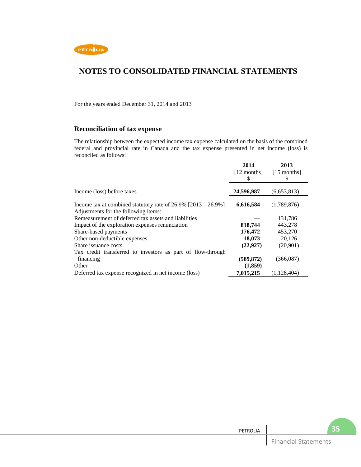

For the years ended December 31, 2014 and 2013

## **Reconciliation of tax expense**

The relationship between the expected income tax expense calculated on the basis of the combined federal and provincial rate in Canada and the tax expense presented in net income (loss) is reconciled as follows:

|                                                                                                          | 2014<br>$[12$ months]<br>S | 2013<br>$[15$ months]<br>S |
|----------------------------------------------------------------------------------------------------------|----------------------------|----------------------------|
| Income (loss) before taxes                                                                               | 24,596,987                 | (6,653,813)                |
| Income tax at combined statutory rate of $26.9\%$ [2013 – 26.9%]<br>Adjustments for the following items: | 6,616,584                  | (1,789,876)                |
| Remeasurement of deferred tax assets and liabilities                                                     |                            | 131,786                    |
| Impact of the exploration expenses renunciation                                                          | 818,744                    | 443,278                    |
| Share-based payments                                                                                     | 176,472                    | 453,270                    |
| Other non-deductible expenses                                                                            | 18,073                     | 20,126                     |
| Share issuance costs                                                                                     | (22, 927)                  | (20,901)                   |
| Tax credit transferred to investors as part of flow-through                                              |                            |                            |
| financing                                                                                                | (589,872)                  | (366,087)                  |
| Other                                                                                                    | (1,859)                    |                            |
| Deferred tax expense recognized in net income (loss)                                                     | 7,015,215                  | (1, 128, 404)              |

| PETROLIA |                          |  |
|----------|--------------------------|--|
|          | Financial.<br>Statements |  |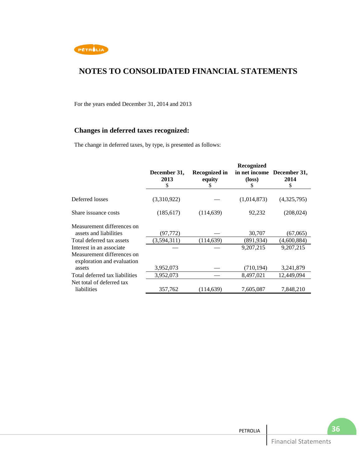

For the years ended December 31, 2014 and 2013

## **Changes in deferred taxes recognized:**

The change in deferred taxes, by type, is presented as follows:

|                                                                                      |                            |                                     | Recognized            |                                          |
|--------------------------------------------------------------------------------------|----------------------------|-------------------------------------|-----------------------|------------------------------------------|
|                                                                                      | December 31,<br>2013<br>\$ | <b>Recognized in</b><br>equity<br>S | $(\text{loss})$<br>\$ | in net income December 31,<br>2014<br>\$ |
| Deferred losses                                                                      | (3,310,922)                |                                     | (1,014,873)           | (4,325,795)                              |
| Share issuance costs                                                                 | (185, 617)                 | (114, 639)                          | 92,232                | (208, 024)                               |
| Measurement differences on<br>assets and liabilities                                 | (97,772)                   |                                     | 30,707                | (67,065)                                 |
| Total deferred tax assets                                                            | (3,594,311)                | (114, 639)                          | (891, 934)            | (4,600,884)                              |
| Interest in an associate<br>Measurement differences on<br>exploration and evaluation |                            |                                     | 9,207,215             | 9,207,215                                |
| assets                                                                               | 3,952,073                  |                                     | (710, 194)            | 3,241,879                                |
| Total deferred tax liabilities                                                       | 3,952,073                  |                                     | 8,497,021             | 12,449,094                               |
| Net total of deferred tax<br>liabilities                                             | 357,762                    | (114, 639)                          | 7,605,087             | 7,848,210                                |

| PETROLIA |                               | . . |
|----------|-------------------------------|-----|
|          | <b>Cim</b><br>tements<br>ual. |     |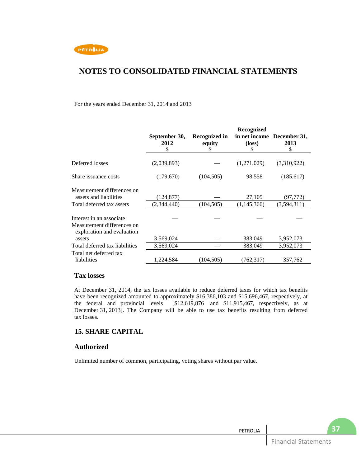

### For the years ended December 31, 2014 and 2013

|                                                                                      | September 30,<br>2012<br>\$ | Recognized in<br>equity<br>S | Recognized<br>in net income<br>$(\text{loss})$<br>\$ | December 31,<br>2013<br>\$ |
|--------------------------------------------------------------------------------------|-----------------------------|------------------------------|------------------------------------------------------|----------------------------|
| Deferred losses                                                                      | (2,039,893)                 |                              | (1,271,029)                                          | (3,310,922)                |
| Share issuance costs                                                                 | (179,670)                   | (104, 505)                   | 98,558                                               | (185, 617)                 |
| Measurement differences on<br>assets and liabilities                                 | (124, 877)                  |                              | 27,105                                               | (97,772)                   |
| Total deferred tax assets                                                            | (2,344,440)                 | (104, 505)                   | (1,145,366)                                          | (3,594,311)                |
| Interest in an associate<br>Measurement differences on<br>exploration and evaluation |                             |                              |                                                      |                            |
| assets                                                                               | 3,569,024                   |                              | 383,049                                              | 3,952,073                  |
| Total deferred tax liabilities                                                       | 3,569,024                   |                              | 383,049                                              | 3,952,073                  |
| Total net deferred tax<br>liabilities                                                | 1,224,584                   | (104, 505)                   | (762, 317)                                           | 357,762                    |

### **Tax losses**

At December 31, 2014, the tax losses available to reduce deferred taxes for which tax benefits have been recognized amounted to approximately \$16,386,103 and \$15,696,467, respectively, at the federal and provincial levels [\$12,619,876 and \$11,915,467, respectively, as at December 31, 2013]. The Company will be able to use tax benefits resulting from deferred tax losses.

## **15. SHARE CAPITAL**

### **Authorized**

Unlimited number of common, participating, voting shares without par value.

**37**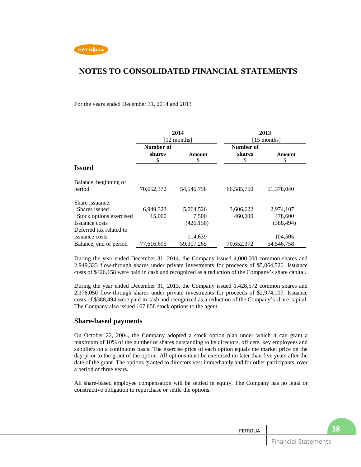

For the years ended December 31, 2014 and 2013

|                                 | 2014<br>[12 months] |              |            | 2013<br>$[15$ months] |
|---------------------------------|---------------------|--------------|------------|-----------------------|
|                                 | Number of           |              | Number of  |                       |
|                                 | shares              | Amount       | shares     | Amount<br>\$          |
| <b>Issued</b>                   | \$                  | \$           | S          |                       |
| Balance, beginning of<br>period | 70,652,372          | 54, 546, 758 | 66,585,750 | 51,378,040            |
| Share issuance:                 |                     |              |            |                       |
| Shares issued                   | 6,949,323           | 5,064,526    | 3,606,622  | 2,974,107             |
| Stock options exercised         | 15,000              | 7,500        | 460,000    | 478,600               |
| Issuance costs                  |                     | (426, 158)   |            | (388, 494)            |
| Deferred tax related to         |                     |              |            |                       |
| issuance costs                  |                     | 114,639      |            | 104,505               |
| Balance, end of period          | 77.616.695          | 59.307.265   | 70.652.372 | 54, 546, 758          |

During the year ended December 31, 2014, the Company issued 4,000,000 common shares and 2,949,323 flow-through shares under private investments for proceeds of \$5,064,526. Issuance costs of \$426,158 were paid in cash and recognized as a reduction of the Company's share capital.

During the year ended December 31, 2013, the Company issued 1,428,572 common shares and 2,178,050 flow-through shares under private investments for proceeds of \$2,974,107. Issuance costs of \$388,494 were paid in cash and recognized as a reduction of the Company's share capital. The Company also issued 167,858 stock options to the agent.

## **Share-based payments**

On October 22, 2004, the Company adopted a stock option plan under which it can grant a maximum of 10% of the number of shares outstanding to its directors, officers, key employees and suppliers on a continuous basis. The exercise price of each option equals the market price on the day prior to the grant of the option. All options must be exercised no later than five years after the date of the grant. The options granted to directors vest immediately and for other participants, over a period of three years.

All share-based employee compensation will be settled in equity. The Company has no legal or constructive obligation to repurchase or settle the options.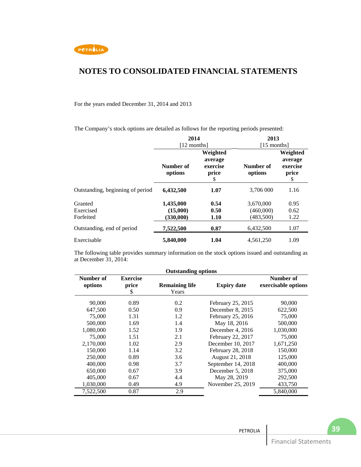

#### For the years ended December 31, 2014 and 2013

The Company's stock options are detailed as follows for the reporting periods presented:

|                                   | 2014                               |                                                | 2013                                |                                                |  |
|-----------------------------------|------------------------------------|------------------------------------------------|-------------------------------------|------------------------------------------------|--|
|                                   | [12 months]                        |                                                | $[15$ months]                       |                                                |  |
|                                   | Number of<br>options               | Weighted<br>average<br>exercise<br>price<br>\$ | Number of<br>options                | Weighted<br>average<br>exercise<br>price<br>\$ |  |
| Outstanding, beginning of period  | 6,432,500                          | 1.07                                           | 3,706 000                           | 1.16                                           |  |
| Granted<br>Exercised<br>Forfeited | 1,435,000<br>(15,000)<br>(330,000) | 0.54<br>0.50<br>1.10                           | 3,670,000<br>(460,000)<br>(483,500) | 0.95<br>0.62<br>1.22                           |  |
| Outstanding, end of period        | 7,522,500                          | 0.87                                           | 6,432,500                           | 1.07                                           |  |
| Exercisable                       | 5,840,000                          | 1.04                                           | 4,561,250                           | 1.09                                           |  |

The following table provides summary information on the stock options issued and outstanding as at December 31, 2014:

|                      | <b>Outstanding options</b>     |                                |                    |                                  |  |  |
|----------------------|--------------------------------|--------------------------------|--------------------|----------------------------------|--|--|
| Number of<br>options | <b>Exercise</b><br>price<br>\$ | <b>Remaining life</b><br>Years | <b>Expiry date</b> | Number of<br>exercisable options |  |  |
| 90,000               | 0.89                           | 0.2                            | February 25, 2015  | 90,000                           |  |  |
| 647,500              | 0.50                           | 0.9                            | December 8, 2015   | 622,500                          |  |  |
| 75,000               | 1.31                           | 1.2                            | February 25, 2016  | 75,000                           |  |  |
| 500,000              | 1.69                           | 1.4                            | May 18, 2016       | 500,000                          |  |  |
| 1.080.000            | 1.52                           | 1.9                            | December 4, 2016   | 1,030,000                        |  |  |
| 75,000               | 1.51                           | 2.1                            | February 22, 2017  | 75,000                           |  |  |
| 2,170,000            | 1.02                           | 2.9                            | December 10, 2017  | 1,671,250                        |  |  |
| 150,000              | 1.14                           | 3.2                            | February 28, 2018  | 150,000                          |  |  |
| 250,000              | 0.89                           | 3.6                            | August 21, 2018    | 125,000                          |  |  |
| 400,000              | 0.98                           | 3.7                            | September 14, 2018 | 400,000                          |  |  |
| 650,000              | 0.67                           | 3.9                            | December 5, 2018   | 375,000                          |  |  |
| 405,000              | 0.67                           | 4.4                            | May 28, 2019       | 292,500                          |  |  |
| 1,030,000            | 0.49                           | 4.9                            | November 25, 2019  | 433,750                          |  |  |
| 7,522,500            | 0.87                           | 2.9                            |                    | 5,840,000                        |  |  |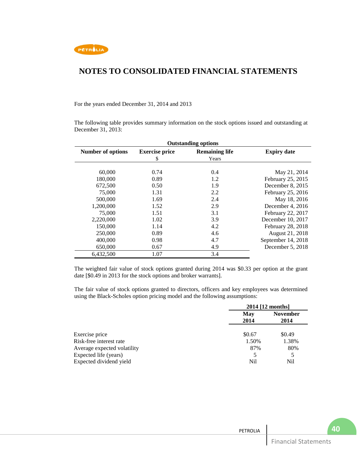

For the years ended December 31, 2014 and 2013

The following table provides summary information on the stock options issued and outstanding at December 31, 2013:

| <b>Outstanding options</b> |                       |                       |                    |  |
|----------------------------|-----------------------|-----------------------|--------------------|--|
| <b>Number of options</b>   | <b>Exercise price</b> | <b>Remaining life</b> | <b>Expiry date</b> |  |
|                            | S                     | Years                 |                    |  |
|                            |                       |                       |                    |  |
| 60,000                     | 0.74                  | 0.4                   | May 21, 2014       |  |
| 180,000                    | 0.89                  | 1.2                   | February 25, 2015  |  |
| 672,500                    | 0.50                  | 1.9                   | December 8, 2015   |  |
| 75,000                     | 1.31                  | 2.2                   | February 25, 2016  |  |
| 500,000                    | 1.69                  | 2.4                   | May 18, 2016       |  |
| 1,200,000                  | 1.52                  | 2.9                   | December 4, 2016   |  |
| 75,000                     | 1.51                  | 3.1                   | February 22, 2017  |  |
| 2,220,000                  | 1.02                  | 3.9                   | December 10, 2017  |  |
| 150,000                    | 1.14                  | 4.2                   | February 28, 2018  |  |
| 250,000                    | 0.89                  | 4.6                   | August 21, 2018    |  |
| 400,000                    | 0.98                  | 4.7                   | September 14, 2018 |  |
| 650,000                    | 0.67                  | 4.9                   | December 5, 2018   |  |
| 6,432,500                  | 1.07                  | 3.4                   |                    |  |

The weighted fair value of stock options granted during 2014 was \$0.33 per option at the grant date [\$0.49 in 2013 for the stock options and broker warrants].

The fair value of stock options granted to directors, officers and key employees was determined using the Black-Scholes option pricing model and the following assumptions:

|                             |        | 2014 [12 months] |  |
|-----------------------------|--------|------------------|--|
|                             | May    | <b>November</b>  |  |
|                             | 2014   | 2014             |  |
| Exercise price              | \$0.67 | \$0.49           |  |
| Risk-free interest rate     | 1.50%  | 1.38%            |  |
| Average expected volatility | 87%    | 80%              |  |
| Expected life (years)       | 5      | 5                |  |
| Expected dividend yield     | Nil    | Nil              |  |
|                             |        |                  |  |

| PETROLIA |                             |  |
|----------|-----------------------------|--|
|          | <b>Financial Statements</b> |  |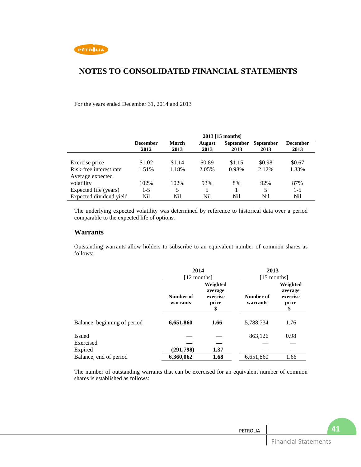

For the years ended December 31, 2014 and 2013

|                         | 2013 [15 months]        |                      |                |                          |                          |                  |
|-------------------------|-------------------------|----------------------|----------------|--------------------------|--------------------------|------------------|
|                         | <b>December</b><br>2012 | <b>March</b><br>2013 | August<br>2013 | <b>September</b><br>2013 | <b>September</b><br>2013 | December<br>2013 |
|                         |                         |                      |                |                          |                          |                  |
| Exercise price          | \$1.02                  | \$1.14               | \$0.89         | \$1.15                   | \$0.98                   | \$0.67           |
| Risk-free interest rate | 1.51%                   | 1.18%                | 2.05%          | 0.98%                    | 2.12%                    | 1.83%            |
| Average expected        |                         |                      |                |                          |                          |                  |
| volatility              | 102%                    | 102%                 | 93%            | 8%                       | 92%                      | 87%              |
| Expected life (years)   | $1-5$                   | 5.                   | 5              |                          | 5                        | $1 - 5$          |
| Expected dividend yield | Nil                     | Nil                  | Nil            | Nil                      | Nil                      | Nil              |

The underlying expected volatility was determined by reference to historical data over a period comparable to the expected life of options.

### **Warrants**

Outstanding warrants allow holders to subscribe to an equivalent number of common shares as follows:

|                              | 2014<br>$[12$ months] |                                                | 2013<br>$[15$ months] |                                                |  |
|------------------------------|-----------------------|------------------------------------------------|-----------------------|------------------------------------------------|--|
|                              | Number of<br>warrants | Weighted<br>average<br>exercise<br>price<br>\$ | Number of<br>warrants | Weighted<br>average<br>exercise<br>price<br>\$ |  |
| Balance, beginning of period | 6,651,860             | 1.66                                           | 5,788,734             | 1.76                                           |  |
| <b>Issued</b>                |                       |                                                | 863,126               | 0.98                                           |  |
| Exercised                    |                       |                                                |                       |                                                |  |
| Expired                      | (291,798)             | 1.37                                           |                       |                                                |  |
| Balance, end of period       | 6,360,062             | 1.68                                           | 6,651,860             | 1.66                                           |  |

The number of outstanding warrants that can be exercised for an equivalent number of common shares is established as follows: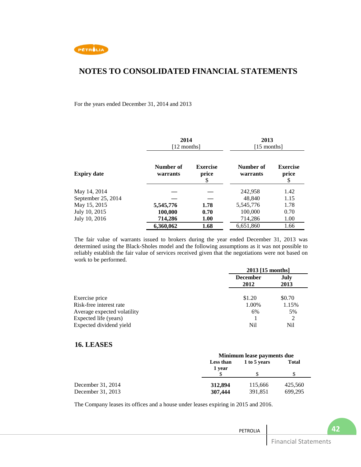

For the years ended December 31, 2014 and 2013

|                    | 2014<br>[12 months]   |                                | 2013<br>$[15$ months] |                                |  |
|--------------------|-----------------------|--------------------------------|-----------------------|--------------------------------|--|
| <b>Expiry date</b> | Number of<br>warrants | <b>Exercise</b><br>price<br>\$ | Number of<br>warrants | <b>Exercise</b><br>price<br>\$ |  |
| May 14, 2014       |                       |                                | 242,958               | 1.42                           |  |
| September 25, 2014 |                       |                                | 48.840                | 1.15                           |  |
| May 15, 2015       | 5,545,776             | 1.78                           | 5,545,776             | 1.78                           |  |
| July 10, 2015      | 100,000               | 0.70                           | 100,000               | 0.70                           |  |
| July 10, 2016      | 714,286               | <b>1.00</b>                    | 714,286               | 1.00                           |  |
|                    | 6,360,062             | 1.68                           | 6,651,860             | 1.66                           |  |

The fair value of warrants issued to brokers during the year ended December 31, 2013 was determined using the Black-Sholes model and the following assumptions as it was not possible to reliably establish the fair value of services received given that the negotiations were not based on work to be performed.

|                             | 2013 [15 months]        |              |  |
|-----------------------------|-------------------------|--------------|--|
|                             | <b>December</b><br>2012 | July<br>2013 |  |
| Exercise price              | \$1.20                  | \$0.70       |  |
| Risk-free interest rate     | 1.00%                   | 1.15%        |  |
| Average expected volatility | 6%                      | 5%           |  |
| Expected life (years)       |                         | 2            |  |
| Expected dividend yield     | Nil                     | Nil          |  |

### **16. LEASES**

|                   | Minimum lease payments due |              |              |  |  |
|-------------------|----------------------------|--------------|--------------|--|--|
|                   | Less than<br>1 year        | 1 to 5 years | <b>Total</b> |  |  |
|                   |                            |              |              |  |  |
| December 31, 2014 | 312,894                    | 115,666      | 425,560      |  |  |
| December 31, 2013 | 307,444                    | 391,851      | 699.295      |  |  |

The Company leases its offices and a house under leases expiring in 2015 and 2016.

| PETROLIA |                             |  |
|----------|-----------------------------|--|
|          | <b>Financial Statements</b> |  |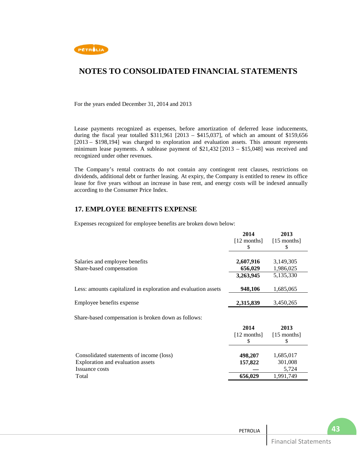

For the years ended December 31, 2014 and 2013

Lease payments recognized as expenses, before amortization of deferred lease inducements, during the fiscal year totalled  $$311,961$  [2013 –  $$415,037$ ], of which an amount of \$159,656 [2013 – \$198,194] was charged to exploration and evaluation assets. This amount represents minimum lease payments. A sublease payment of \$21,432 [2013 – \$15,048] was received and recognized under other revenues.

The Company's rental contracts do not contain any contingent rent clauses, restrictions on dividends, additional debt or further leasing. At expiry, the Company is entitled to renew its office lease for five years without an increase in base rent, and energy costs will be indexed annually according to the Consumer Price Index.

## **17. EMPLOYEE BENEFITS EXPENSE**

Expenses recognized for employee benefits are broken down below:

|                                                                | 2014          | 2013          |
|----------------------------------------------------------------|---------------|---------------|
|                                                                | $[12$ months] | $[15$ months] |
|                                                                | \$            | S             |
|                                                                |               |               |
| Salaries and employee benefits                                 | 2,607,916     | 3,149,305     |
| Share-based compensation                                       | 656,029       | 1,986,025     |
|                                                                | 3,263,945     | 5,135,330     |
| Less: amounts capitalized in exploration and evaluation assets | 948,106       | 1,685,065     |
|                                                                |               |               |
| Employee benefits expense                                      | 2,315,839     | 3,450,265     |
| Share-based compensation is broken down as follows:            |               |               |
|                                                                | 2014          | 2013          |
|                                                                | $[12$ months] | $[15$ months] |
|                                                                | \$            | \$            |
|                                                                |               |               |
| Consolidated statements of income (loss)                       | 498,207       | 1,685,017     |
| Exploration and evaluation assets                              | 157,822       | 301,008       |
| Issuance costs                                                 |               | 5,724         |
| Total                                                          | 656,029       | 1,991,749     |

| PETROLIA |                             |  |
|----------|-----------------------------|--|
|          | <b>Financial Statements</b> |  |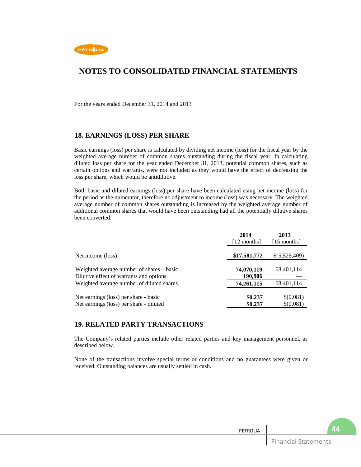

For the years ended December 31, 2014 and 2013

### **18. EARNINGS (LOSS) PER SHARE**

Basic earnings (loss) per share is calculated by dividing net income (loss) for the fiscal year by the weighted average number of common shares outstanding during the fiscal year. In calculating diluted loss per share for the year ended December 31, 2013, potential common shares, such as certain options and warrants, were not included as they would have the effect of decreasing the loss per share, which would be antidilutive.

Both basic and diluted earnings (loss) per share have been calculated using net income (loss) for the period as the numerator, therefore no adjustment to income (loss) was necessary. The weighted average number of common shares outstanding is increased by the weighted average number of additional common shares that would have been outstanding had all the potentially dilutive shares been converted.

|                                                                                      | 2014<br>[12 months]   | 2013<br>$[15$ months]  |
|--------------------------------------------------------------------------------------|-----------------------|------------------------|
| Net income (loss)                                                                    | \$17,581,772          | \$(5,525,409)          |
| Weighted average number of shares – basic<br>Dilutive effect of warrants and options | 74,070,119<br>190,906 | 68,401,114             |
| Weighted average number of diluted shares                                            | 74,261,115            | 68,401,114             |
| Net earnings (loss) per share - basic<br>Net earnings (loss) per share - diluted     | \$0.237<br>\$0.237    | \$(0.081)<br>\$(0.081) |

### **19. RELATED PARTY TRANSACTIONS**

The Company's related parties include other related parties and key management personnel, as described below.

None of the transactions involve special terms or conditions and no guarantees were given or received. Outstanding balances are usually settled in cash.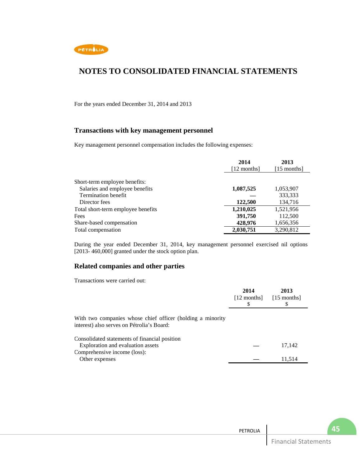

For the years ended December 31, 2014 and 2013

## **Transactions with key management personnel**

Key management personnel compensation includes the following expenses:

|                                    | 2014<br>[12 months] | 2013<br>$[15$ months] |
|------------------------------------|---------------------|-----------------------|
| Short-term employee benefits:      |                     |                       |
| Salaries and employee benefits     | 1,087,525           | 1,053,907             |
| <b>Termination benefit</b>         |                     | 333,333               |
| Director fees                      | 122,500             | 134,716               |
| Total short-term employee benefits | 1,210,025           | 1,521,956             |
| Fees                               | 391,750             | 112,500               |
| Share-based compensation           | 428,976             | 1,656,356             |
| Total compensation                 | 2,030,751           | 3,290,812             |

During the year ended December 31, 2014, key management personnel exercised nil options [2013-460,000] granted under the stock option plan.

### **Related companies and other parties**

Transactions were carried out:

|                                                                                                          | 2014<br>$[12$ months | 2013<br>$[15$ months |
|----------------------------------------------------------------------------------------------------------|----------------------|----------------------|
| With two companies whose chief officer (holding a minority<br>interest) also serves on Pétrolia's Board: |                      |                      |
| Consolidated statements of financial position                                                            |                      |                      |
| Exploration and evaluation assets                                                                        |                      | 17,142               |
| Comprehensive income (loss):                                                                             |                      |                      |
| Other expenses                                                                                           |                      | 11.514               |

| PETROLIA |                             |  |
|----------|-----------------------------|--|
|          | <b>Financial Statements</b> |  |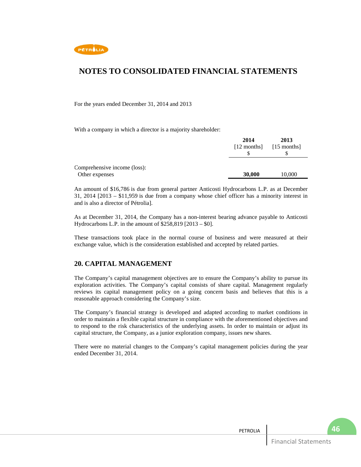

For the years ended December 31, 2014 and 2013

With a company in which a director is a majority shareholder:

|                              | 2014          | 2013          |  |
|------------------------------|---------------|---------------|--|
|                              | $[12$ months] | $[15$ months] |  |
|                              |               |               |  |
|                              |               |               |  |
| Comprehensive income (loss): |               |               |  |
| Other expenses               | 30,000        | 10,000        |  |

An amount of \$16,786 is due from general partner Anticosti Hydrocarbons L.P. as at December 31, 2014 [2013 – \$11,959 is due from a company whose chief officer has a minority interest in and is also a director of Pétrolia].

As at December 31, 2014, the Company has a non-interest bearing advance payable to Anticosti Hydrocarbons L.P. in the amount of  $$258,819$  [2013 –  $$0]$ .

These transactions took place in the normal course of business and were measured at their exchange value, which is the consideration established and accepted by related parties.

### **20. CAPITAL MANAGEMENT**

The Company's capital management objectives are to ensure the Company's ability to pursue its exploration activities. The Company's capital consists of share capital. Management regularly reviews its capital management policy on a going concern basis and believes that this is a reasonable approach considering the Company's size.

The Company's financial strategy is developed and adapted according to market conditions in order to maintain a flexible capital structure in compliance with the aforementioned objectives and to respond to the risk characteristics of the underlying assets. In order to maintain or adjust its capital structure, the Company, as a junior exploration company, issues new shares.

There were no material changes to the Company's capital management policies during the year ended December 31, 2014.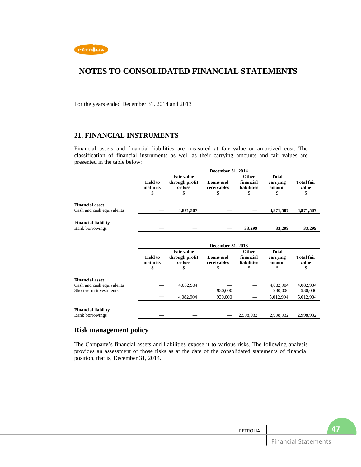

For the years ended December 31, 2014 and 2013

### **21. FINANCIAL INSTRUMENTS**

Financial assets and financial liabilities are measured at fair value or amortized cost. The classification of financial instruments as well as their carrying amounts and fair values are presented in the table below:

|                                                      | December 31, 2014          |                                                |                                 |                                          |                                    |                            |  |
|------------------------------------------------------|----------------------------|------------------------------------------------|---------------------------------|------------------------------------------|------------------------------------|----------------------------|--|
|                                                      | <b>Held</b> to<br>maturity | <b>Fair value</b><br>through profit<br>or loss | <b>Loans</b> and<br>receivables | Other<br>financial<br>liabilities        | <b>Total</b><br>carrying<br>amount | <b>Total fair</b><br>value |  |
|                                                      | \$                         | \$                                             | \$                              | \$                                       | \$                                 | \$                         |  |
| <b>Financial asset</b>                               |                            |                                                |                                 |                                          |                                    |                            |  |
| Cash and cash equivalents                            |                            | 4,871,507                                      |                                 |                                          | 4,871,507                          | 4,871,507                  |  |
| <b>Financial liability</b><br><b>Bank borrowings</b> |                            |                                                |                                 | 33,299                                   | 33,299                             | 33,299                     |  |
|                                                      |                            |                                                |                                 |                                          |                                    |                            |  |
|                                                      |                            | December 31, 2013                              |                                 |                                          |                                    |                            |  |
|                                                      | <b>Held</b> to<br>maturity | <b>Fair value</b><br>through profit<br>or loss | Loans and<br>receivables        | Other<br>financial<br><b>liabilities</b> | <b>Total</b><br>carrying<br>amount | <b>Total fair</b><br>value |  |
|                                                      | \$                         | \$                                             | \$                              | \$                                       | \$                                 | \$                         |  |
| <b>Financial asset</b>                               |                            |                                                |                                 |                                          |                                    |                            |  |
| Cash and cash equivalents                            |                            | 4,082,904                                      |                                 |                                          | 4,082,904                          | 4,082,904                  |  |
| Short-term investments                               |                            |                                                | 930,000                         |                                          | 930,000                            | 930,000                    |  |
|                                                      |                            | 4,082,904                                      | 930,000                         |                                          | 5,012,904                          | 5,012,904                  |  |
| <b>Financial liability</b>                           |                            |                                                |                                 |                                          |                                    |                            |  |
| <b>Bank borrowings</b>                               |                            |                                                |                                 | 2,998,932                                | 2,998,932                          | 2,998,932                  |  |

### **Risk management policy**

The Company's financial assets and liabilities expose it to various risks. The following analysis provides an assessment of those risks as at the date of the consolidated statements of financial position, that is, December 31, 2014.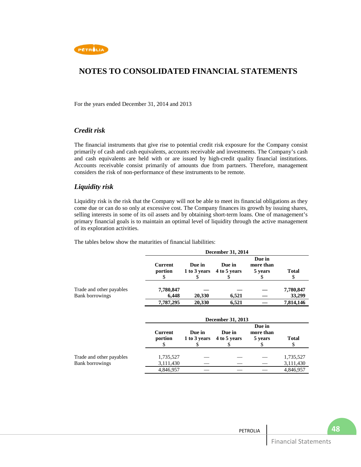

For the years ended December 31, 2014 and 2013

### *Credit risk*

The financial instruments that give rise to potential credit risk exposure for the Company consist primarily of cash and cash equivalents, accounts receivable and investments. The Company's cash and cash equivalents are held with or are issued by high-credit quality financial institutions. Accounts receivable consist primarily of amounts due from partners. Therefore, management considers the risk of non-performance of these instruments to be remote.

### *Liquidity risk*

Liquidity risk is the risk that the Company will not be able to meet its financial obligations as they come due or can do so only at excessive cost. The Company finances its growth by issuing shares, selling interests in some of its oil assets and by obtaining short-term loans. One of management's primary financial goals is to maintain an optimal level of liquidity through the active management of its exploration activities.

The tables below show the maturities of financial liabilities:

|                                                    | December 31, 2014         |        |                                     |                                |                     |
|----------------------------------------------------|---------------------------|--------|-------------------------------------|--------------------------------|---------------------|
|                                                    | <b>Current</b><br>portion | Due in | Due in<br>1 to 3 years 4 to 5 years | Due in<br>more than<br>5 years | <b>Total</b><br>\$  |
| Trade and other payables<br><b>Bank borrowings</b> | 7,780,847<br>6,448        | 20,330 | 6,521                               |                                | 7,780,847<br>33,299 |
|                                                    | 7,787,295                 | 20,330 | 6,521                               |                                | 7,814,146           |

|                          | December 31, 2013  |        |                                     |                                |              |  |
|--------------------------|--------------------|--------|-------------------------------------|--------------------------------|--------------|--|
|                          | Current<br>portion | Due in | Due in<br>1 to 3 years 4 to 5 years | Due in<br>more than<br>5 years | <b>Total</b> |  |
| Trade and other payables | 1,735,527          |        |                                     |                                | 1,735,527    |  |
| <b>Bank borrowings</b>   | 3,111,430          |        |                                     |                                | 3,111,430    |  |
|                          | 4,846,957          |        |                                     |                                | 4,846,957    |  |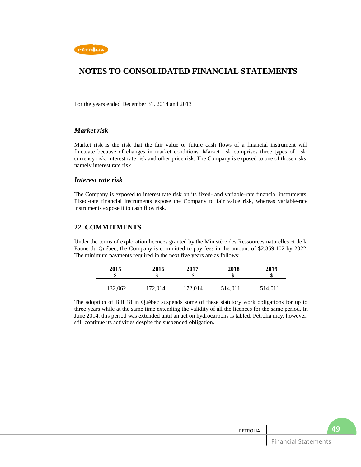

For the years ended December 31, 2014 and 2013

### *Market risk*

Market risk is the risk that the fair value or future cash flows of a financial instrument will fluctuate because of changes in market conditions. Market risk comprises three types of risk: currency risk, interest rate risk and other price risk. The Company is exposed to one of those risks, namely interest rate risk.

### *Interest rate risk*

The Company is exposed to interest rate risk on its fixed- and variable-rate financial instruments. Fixed-rate financial instruments expose the Company to fair value risk, whereas variable-rate instruments expose it to cash flow risk.

## **22. COMMITMENTS**

Under the terms of exploration licences granted by the Ministère des Ressources naturelles et de la Faune du Québec, the Company is committed to pay fees in the amount of \$2,359,102 by 2022. The minimum payments required in the next five years are as follows:

| 2015    | 2016<br>\$ | 2017<br>S | 2018    | 2019    |
|---------|------------|-----------|---------|---------|
| 132,062 | 172,014    | 172,014   | 514,011 | 514,011 |

The adoption of Bill 18 in Québec suspends some of these statutory work obligations for up to three years while at the same time extending the validity of all the licences for the same period. In June 2014, this period was extended until an act on hydrocarbons is tabled. Pétrolia may, however, still continue its activities despite the suspended obligation.

| PETROLIA |                             | $\overline{A}$ |
|----------|-----------------------------|----------------|
|          | <b>Financial Statements</b> |                |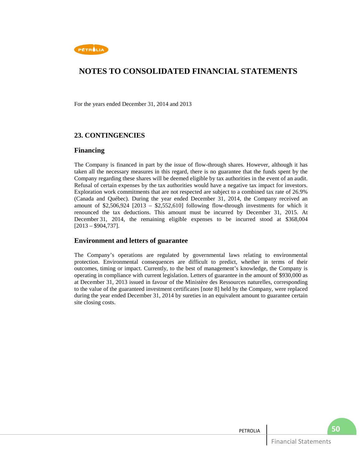

For the years ended December 31, 2014 and 2013

## **23. CONTINGENCIES**

### **Financing**

The Company is financed in part by the issue of flow-through shares. However, although it has taken all the necessary measures in this regard, there is no guarantee that the funds spent by the Company regarding these shares will be deemed eligible by tax authorities in the event of an audit. Refusal of certain expenses by the tax authorities would have a negative tax impact for investors. Exploration work commitments that are not respected are subject to a combined tax rate of 26.9% (Canada and Québec). During the year ended December 31, 2014, the Company received an amount of  $$2,506,924$   $[2013 - $2,552,610]$  following flow-through investments for which it renounced the tax deductions. This amount must be incurred by December 31, 2015. At December 31, 2014, the remaining eligible expenses to be incurred stood at \$368,004  $[2013 - $904,737]$ .

## **Environment and letters of guarantee**

The Company's operations are regulated by governmental laws relating to environmental protection. Environmental consequences are difficult to predict, whether in terms of their outcomes, timing or impact. Currently, to the best of management's knowledge, the Company is operating in compliance with current legislation. Letters of guarantee in the amount of \$930,000 as at December 31, 2013 issued in favour of the Ministère des Ressources naturelles, corresponding to the value of the guaranteed investment certificates [note 8] held by the Company, were replaced during the year ended December 31, 2014 by sureties in an equivalent amount to guarantee certain site closing costs.

| PETROLIA |                                       |  |
|----------|---------------------------------------|--|
|          | $\Box$ Finance<br>ments<br>าดเลเ<br>- |  |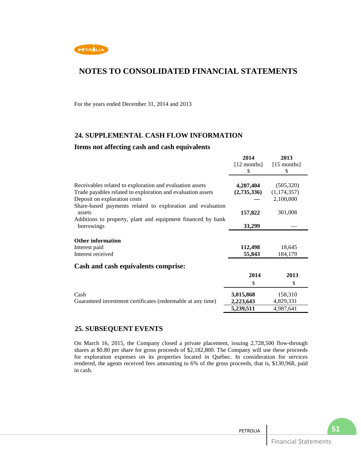

For the years ended December 31, 2014 and 2013

## **24. SUPPLEMENTAL CASH FLOW INFORMATION**

### **Items not affecting cash and cash equivalents**

|                                                             | 2014          | 2013          |
|-------------------------------------------------------------|---------------|---------------|
|                                                             | $[12$ months] | $[15$ months] |
|                                                             | S             | \$            |
|                                                             |               |               |
| Receivables related to exploration and evaluation assets    | 4,207,404     | (505, 320)    |
| Trade payables related to exploration and evaluation assets | (2,735,336)   | (1, 174, 357) |
| Deposit on exploration costs                                |               | 2,100,000     |
| Share-based payments related to exploration and evaluation  |               |               |
| assets                                                      | 157,822       | 301,008       |
| Additions to property, plant and equipment financed by bank |               |               |
| borrowings                                                  | 33,299        |               |
|                                                             |               |               |
| <b>Other information</b>                                    |               |               |
| Interest paid                                               | 112,498       | 18,645        |
| Interest received                                           | 55,843        | 184,179       |
| Cash and cash equivalents comprise:                         |               |               |
|                                                             | 2014          | 2013          |
|                                                             | \$            | \$            |
| Cash                                                        | 3,015,868     | 158,310       |
| Guaranteed investment certificates (redeemable at any time) | 2,223,643     | 4,829,331     |
|                                                             | 5,239,511     | 4,987,641     |
|                                                             |               |               |

## **25. SUBSEQUENT EVENTS**

On March 16, 2015, the Company closed a private placement, issuing 2,728,500 flow-through shares at \$0.80 per share for gross proceeds of \$2,182,800. The Company will use these proceeds for exploration expenses on its properties located in Québec. In consideration for services rendered, the agents received fees amounting to 6% of the gross proceeds, that is, \$130,968, paid in cash.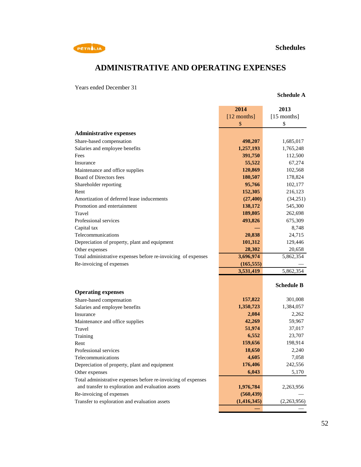

# **ADMINISTRATIVE AND OPERATING EXPENSES**

Years ended December 31

## **Schedule A**

|                                                               | 2014          | 2013              |
|---------------------------------------------------------------|---------------|-------------------|
|                                                               | $[12$ months] | $[15$ months]     |
|                                                               | \$            | \$                |
| <b>Administrative expenses</b>                                |               |                   |
| Share-based compensation                                      | 498,207       | 1,685,017         |
| Salaries and employee benefits                                | 1,257,193     | 1,765,248         |
| Fees                                                          | 391,750       | 112,500           |
| Insurance                                                     | 55,522        | 67,274            |
| Maintenance and office supplies                               | 120,869       | 102,568           |
| Board of Directors fees                                       | 180,507       | 178,824           |
| Shareholder reporting                                         | 95,766        | 102,177           |
| Rent                                                          | 152,305       | 216,123           |
| Amortization of deferred lease inducements                    | (27, 400)     | (34,251)          |
| Promotion and entertainment                                   | 138,172       | 545,300           |
| Travel                                                        | 189,805       | 262,698           |
| Professional services                                         | 493,826       | 675,309           |
| Capital tax                                                   |               | 8,748             |
| Telecommunications                                            | 20,838        | 24,715            |
| Depreciation of property, plant and equipment                 | 101,312       | 129,446           |
| Other expenses                                                | 28,302        | 20,658            |
| Total administrative expenses before re-invoicing of expenses | 3,696,974     | 5,862,354         |
| Re-invoicing of expenses                                      | (165, 555)    |                   |
|                                                               | 3,531,419     | 5,862,354         |
|                                                               |               |                   |
|                                                               |               | <b>Schedule B</b> |
| <b>Operating expenses</b>                                     |               |                   |
| Share-based compensation                                      | 157,822       | 301,008           |
| Salaries and employee benefits                                | 1,350,723     | 1,384,057         |
| Insurance                                                     | 2,084         | 2,262             |
| Maintenance and office supplies                               | 42,269        | 59,967            |
| Travel                                                        | 51,974        | 37,017            |
| Training                                                      | 6,552         | 23,707            |
| Rent                                                          | 159,656       | 198,914           |
| Professional services                                         | 18,650        | 2,240             |
| Telecommunications                                            | 4,605         | 7,058             |
| Depreciation of property, plant and equipment                 | 176,406       | 242,556           |
| Other expenses                                                | 6,043         | 5,170             |
| Total administrative expenses before re-invoicing of expenses |               |                   |
| and transfer to exploration and evaluation assets             | 1,976,784     | 2,263,956         |
| Re-invoicing of expenses                                      | (560, 439)    |                   |
| Transfer to exploration and evaluation assets                 | (1, 416, 345) | (2,263,956)       |
|                                                               |               |                   |